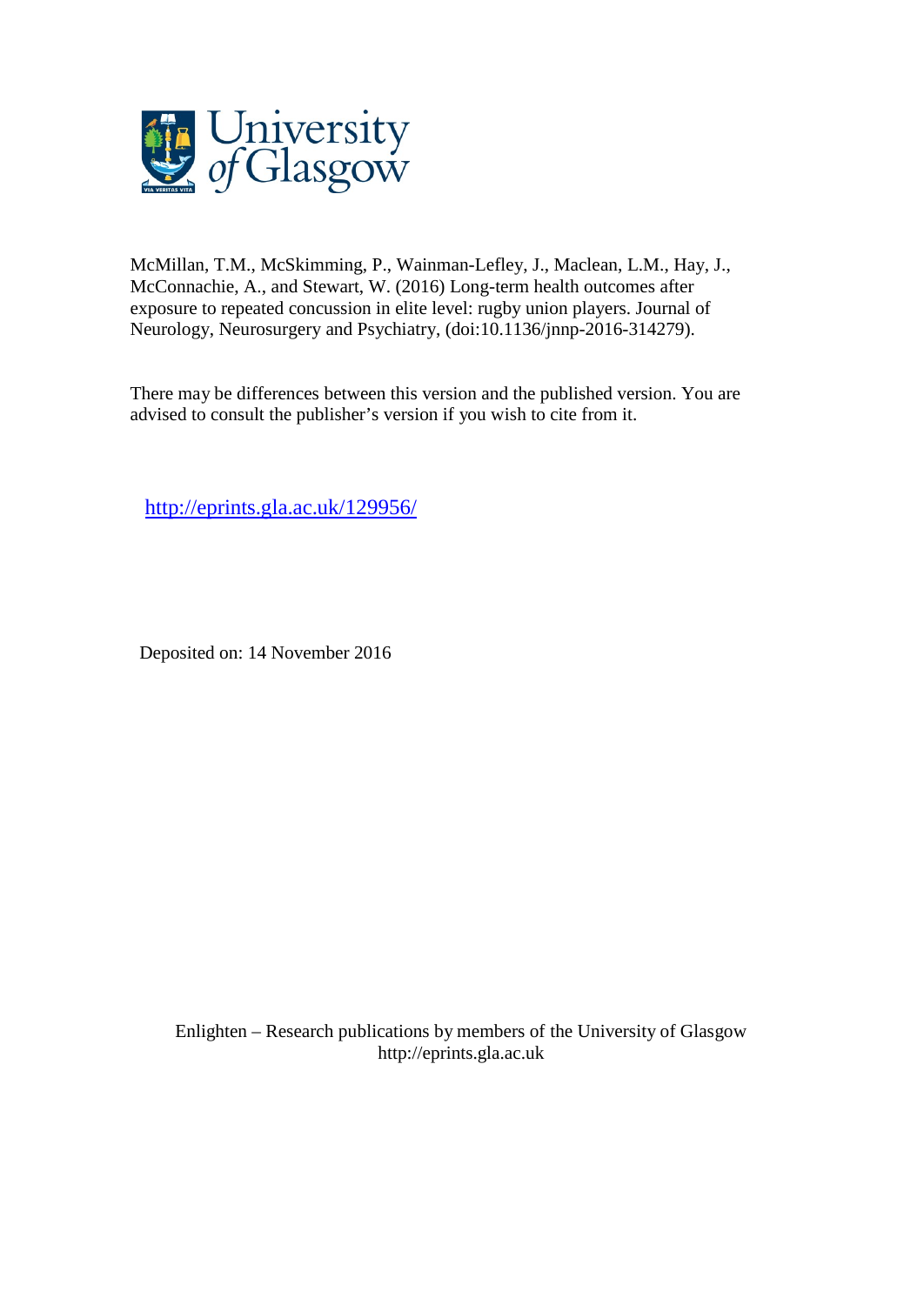

McMillan, T.M., McSkimming, P., Wainman-Lefley, J., Maclean, L.M., Hay, J., McConnachie, A., and Stewart, W. (2016) Long-term health outcomes after exposure to repeated concussion in elite level: rugby union players. Journal of Neurology, Neurosurgery and Psychiatry, (doi:10.1136/jnnp-2016-314279).

There may be differences between this version and the published version. You are advised to consult the publisher's version if you wish to cite from it.

<http://eprints.gla.ac.uk/129956/>

Deposited on: 14 November 2016

Enlighten – Research publications by members of the University of Glasgo[w](http://eprints.gla.ac.uk/) [http://eprints.gla.ac.uk](http://eprints.gla.ac.uk/)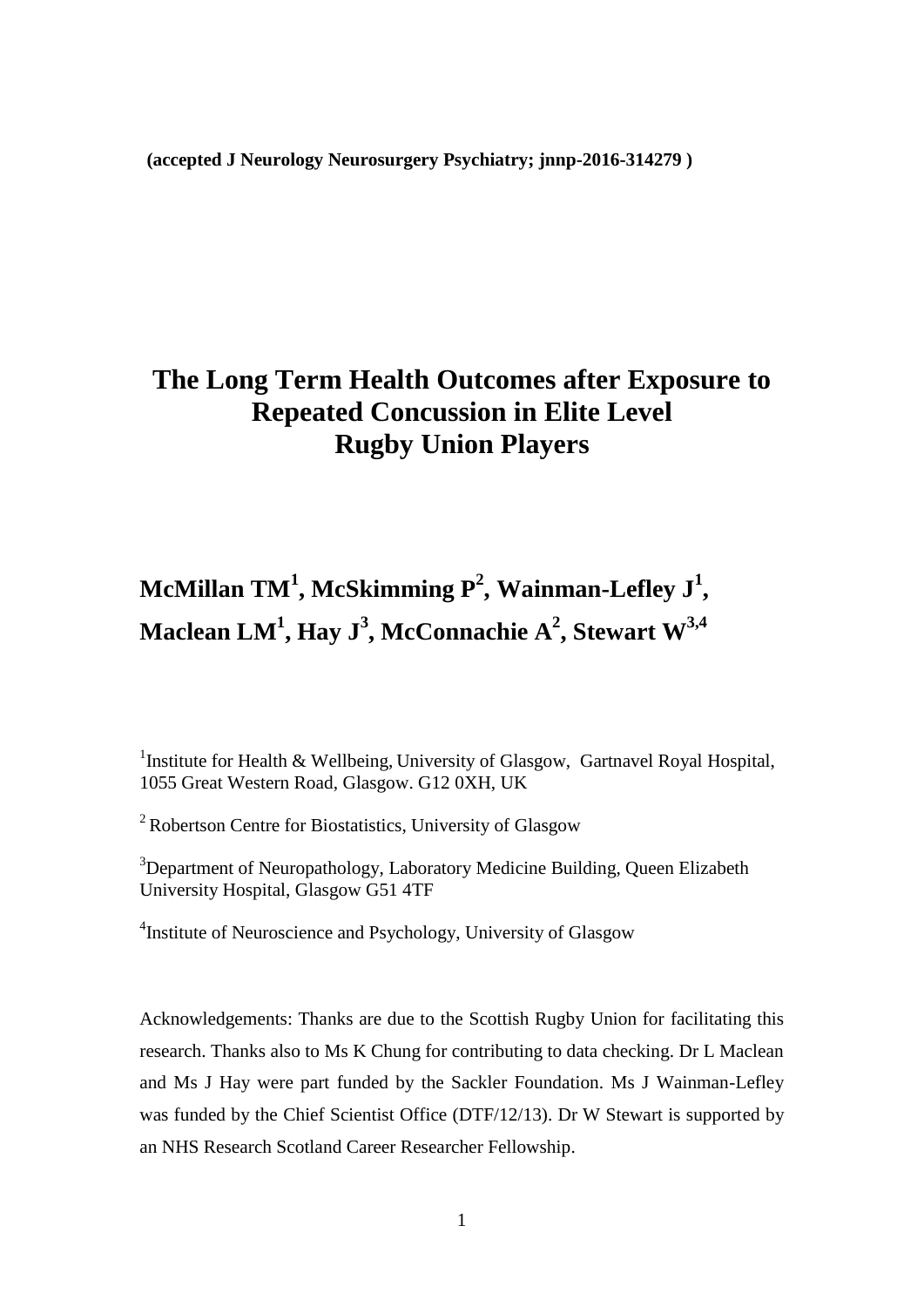**(accepted J Neurology Neurosurgery Psychiatry; jnnp-2016-314279 )**

## **The Long Term Health Outcomes after Exposure to Repeated Concussion in Elite Level Rugby Union Players**

# **McMillan TM<sup>1</sup> , McSkimming P<sup>2</sup> , Wainman-Lefley J<sup>1</sup> , Maclean LM 1 , Hay J<sup>3</sup> , McConnachie A<sup>2</sup> , Stewart W3,4**

<sup>1</sup> Institute for Health & Wellbeing, University of Glasgow, Gartnavel Royal Hospital, 1055 Great Western Road, Glasgow. G12 0XH, UK

<sup>2</sup> Robertson Centre for Biostatistics, University of Glasgow

<sup>3</sup>Department of Neuropathology, Laboratory Medicine Building, Queen Elizabeth University Hospital, Glasgow G51 4TF

<sup>4</sup>Institute of Neuroscience and Psychology, University of Glasgow

Acknowledgements: Thanks are due to the Scottish Rugby Union for facilitating this research. Thanks also to Ms K Chung for contributing to data checking. Dr L Maclean and Ms J Hay were part funded by the Sackler Foundation. Ms J Wainman-Lefley was funded by the Chief Scientist Office (DTF/12/13). Dr W Stewart is supported by an NHS Research Scotland Career Researcher Fellowship.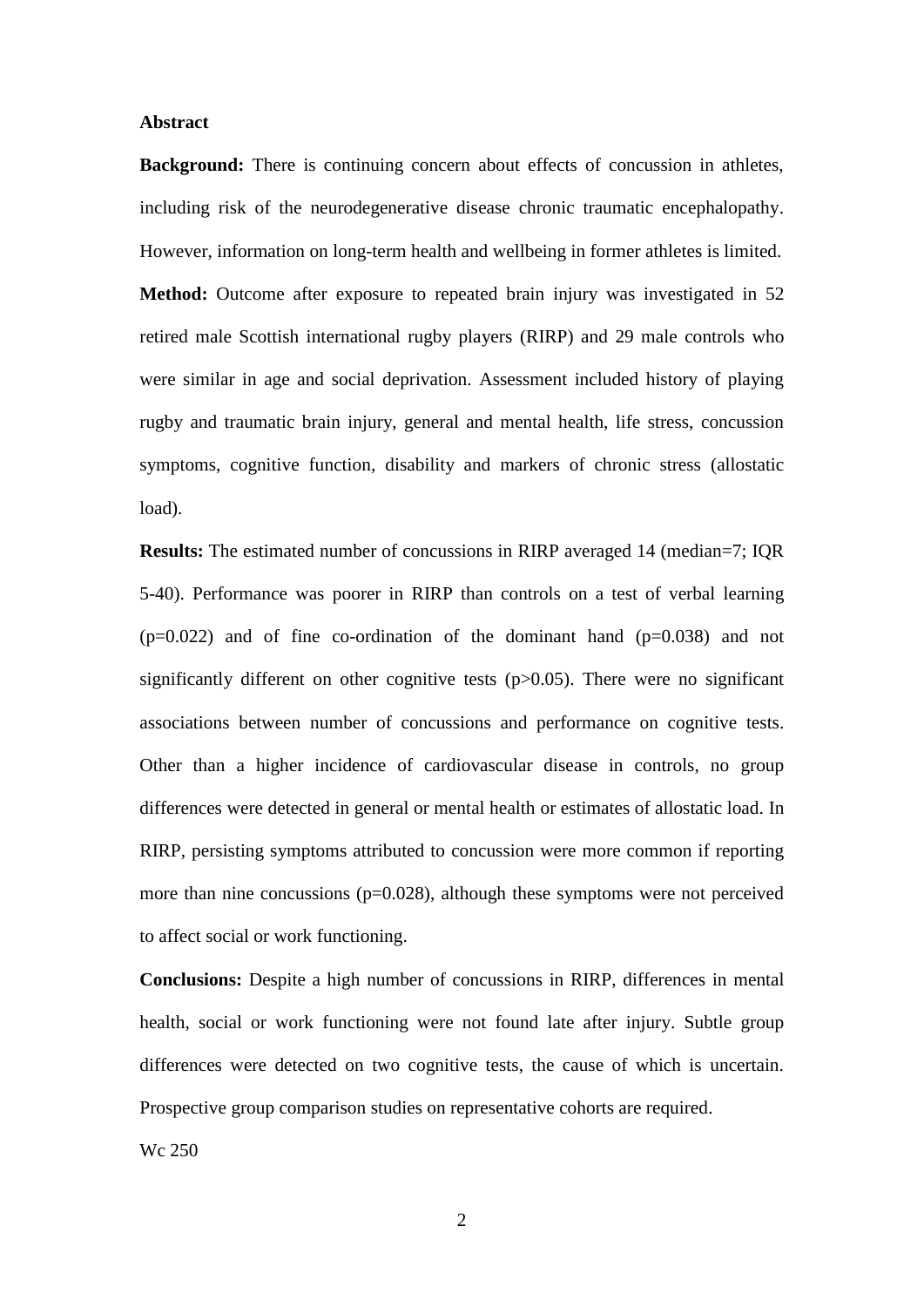#### **Abstract**

**Background:** There is continuing concern about effects of concussion in athletes, including risk of the neurodegenerative disease chronic traumatic encephalopathy. However, information on long-term health and wellbeing in former athletes is limited. **Method:** Outcome after exposure to repeated brain injury was investigated in 52 retired male Scottish international rugby players (RIRP) and 29 male controls who were similar in age and social deprivation. Assessment included history of playing rugby and traumatic brain injury, general and mental health, life stress, concussion symptoms, cognitive function, disability and markers of chronic stress (allostatic load).

**Results:** The estimated number of concussions in RIRP averaged 14 (median=7; IQR 5-40). Performance was poorer in RIRP than controls on a test of verbal learning  $(p=0.022)$  and of fine co-ordination of the dominant hand  $(p=0.038)$  and not significantly different on other cognitive tests (p>0.05). There were no significant associations between number of concussions and performance on cognitive tests. Other than a higher incidence of cardiovascular disease in controls, no group differences were detected in general or mental health or estimates of allostatic load. In RIRP, persisting symptoms attributed to concussion were more common if reporting more than nine concussions ( $p=0.028$ ), although these symptoms were not perceived to affect social or work functioning.

**Conclusions:** Despite a high number of concussions in RIRP, differences in mental health, social or work functioning were not found late after injury. Subtle group differences were detected on two cognitive tests, the cause of which is uncertain. Prospective group comparison studies on representative cohorts are required.

Wc 250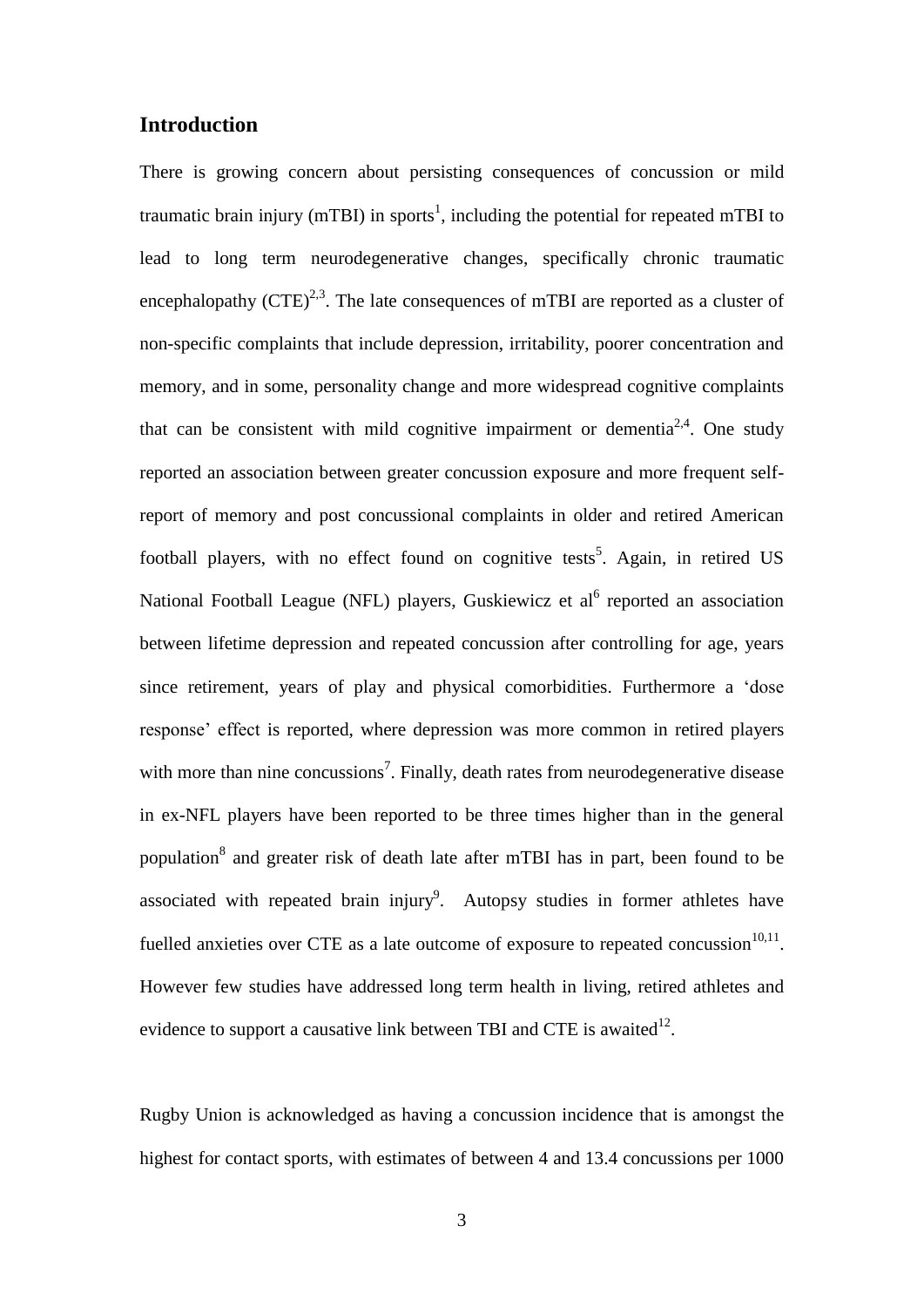## **Introduction**

There is growing concern about persisting consequences of concussion or mild traumatic brain injury (mTBI) in sports<sup>1</sup>, including the potential for repeated mTBI to lead to long term neurodegenerative changes, specifically chronic traumatic encephalopathy  $(CTE)^{2,3}$ . The late consequences of mTBI are reported as a cluster of non-specific complaints that include depression, irritability, poorer concentration and memory, and in some, personality change and more widespread cognitive complaints that can be consistent with mild cognitive impairment or dementia<sup>2,4</sup>. One study reported an association between greater concussion exposure and more frequent selfreport of memory and post concussional complaints in older and retired American football players, with no effect found on cognitive tests<sup>5</sup>. Again, in retired US National Football League (NFL) players, Guskiewicz et al<sup>6</sup> reported an association between lifetime depression and repeated concussion after controlling for age, years since retirement, years of play and physical comorbidities. Furthermore a 'dose response' effect is reported, where depression was more common in retired players with more than nine concussions<sup>7</sup>. Finally, death rates from neurodegenerative disease in ex-NFL players have been reported to be three times higher than in the general population<sup>8</sup> and greater risk of death late after mTBI has in part, been found to be associated with repeated brain injury<sup>9</sup>. Autopsy studies in former athletes have fuelled anxieties over CTE as a late outcome of exposure to repeated concussion $10,11$ . However few studies have addressed long term health in living, retired athletes and evidence to support a causative link between TBI and CTE is awaited $^{12}$ .

Rugby Union is acknowledged as having a concussion incidence that is amongst the highest for contact sports, with estimates of between 4 and 13.4 concussions per 1000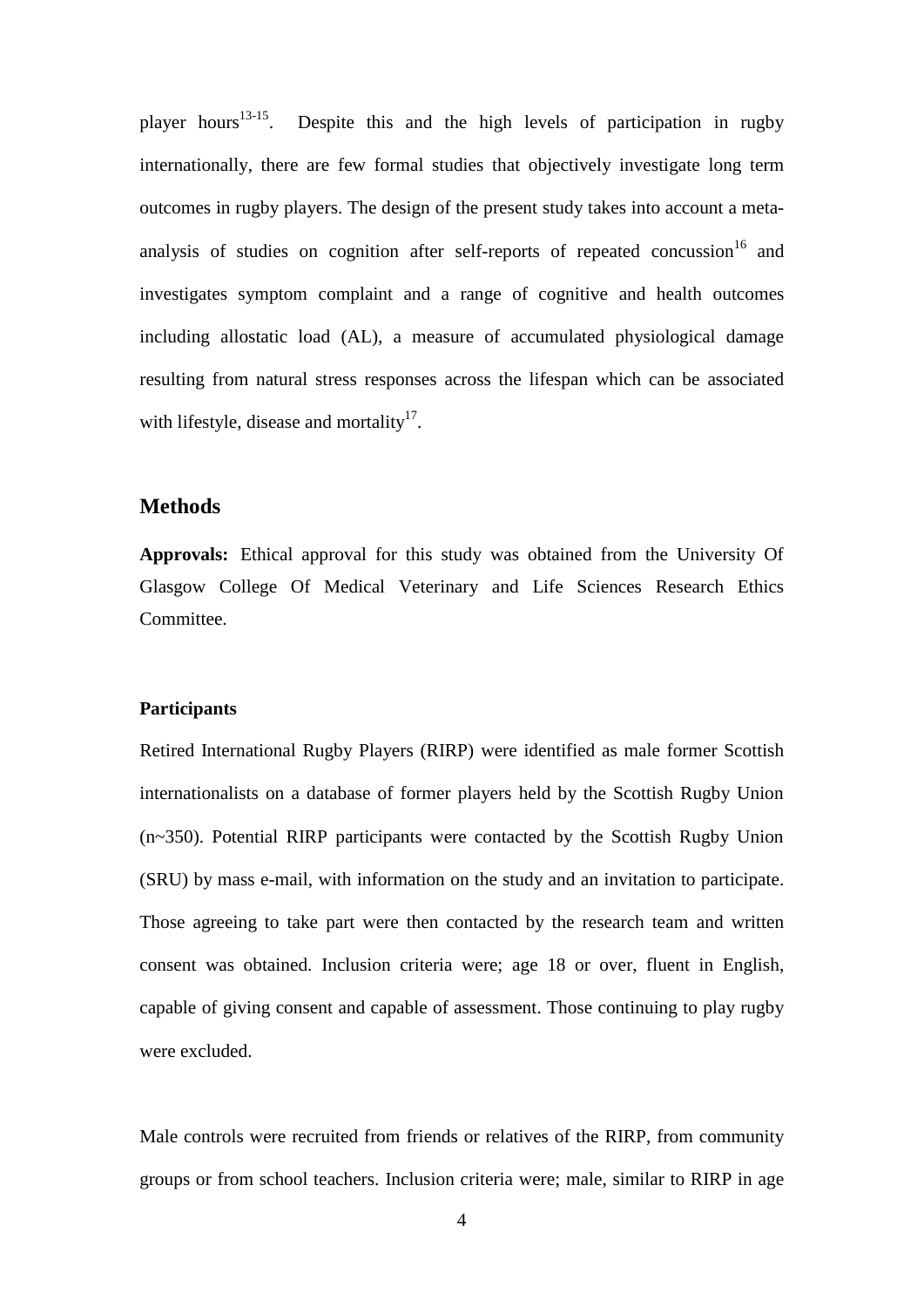player hours<sup>13-15</sup>. . Despite this and the high levels of participation in rugby internationally, there are few formal studies that objectively investigate long term outcomes in rugby players. The design of the present study takes into account a metaanalysis of studies on cognition after self-reports of repeated concussion  $16$  and investigates symptom complaint and a range of cognitive and health outcomes including allostatic load (AL), a measure of accumulated physiological damage resulting from natural stress responses across the lifespan which can be associated with lifestyle, disease and mortality $17$ .

## **Methods**

**Approvals:** Ethical approval for this study was obtained from the University Of Glasgow College Of Medical Veterinary and Life Sciences Research Ethics Committee.

## **Participants**

Retired International Rugby Players (RIRP) were identified as male former Scottish internationalists on a database of former players held by the Scottish Rugby Union (n~350). Potential RIRP participants were contacted by the Scottish Rugby Union (SRU) by mass e-mail, with information on the study and an invitation to participate. Those agreeing to take part were then contacted by the research team and written consent was obtained. Inclusion criteria were; age 18 or over, fluent in English, capable of giving consent and capable of assessment. Those continuing to play rugby were excluded.

Male controls were recruited from friends or relatives of the RIRP, from community groups or from school teachers. Inclusion criteria were; male, similar to RIRP in age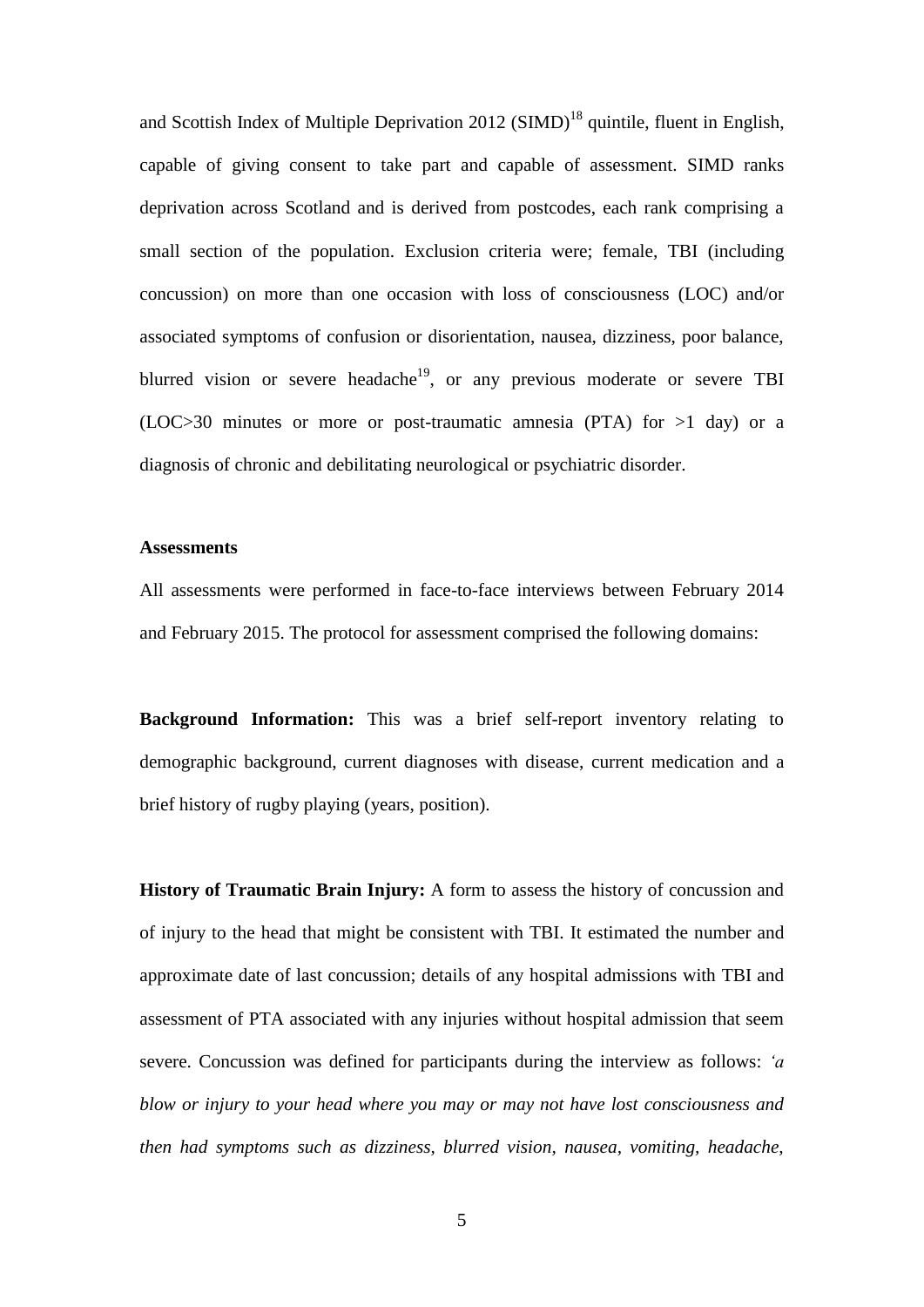and Scottish Index of Multiple Deprivation 2012 (SIMD)<sup>18</sup> quintile, fluent in English, capable of giving consent to take part and capable of assessment. SIMD ranks deprivation across Scotland and is derived from postcodes, each rank comprising a small section of the population. Exclusion criteria were; female, TBI (including concussion) on more than one occasion with loss of consciousness (LOC) and/or associated symptoms of confusion or disorientation, nausea, dizziness, poor balance, blurred vision or severe headache<sup>19</sup>, or any previous moderate or severe TBI (LOC>30 minutes or more or post-traumatic amnesia (PTA) for  $>1$  day) or a diagnosis of chronic and debilitating neurological or psychiatric disorder.

#### **Assessments**

All assessments were performed in face-to-face interviews between February 2014 and February 2015. The protocol for assessment comprised the following domains:

**Background Information:** This was a brief self-report inventory relating to demographic background, current diagnoses with disease, current medication and a brief history of rugby playing (years, position).

**History of Traumatic Brain Injury:** A form to assess the history of concussion and of injury to the head that might be consistent with TBI. It estimated the number and approximate date of last concussion; details of any hospital admissions with TBI and assessment of PTA associated with any injuries without hospital admission that seem severe. Concussion was defined for participants during the interview as follows: *'a blow or injury to your head where you may or may not have lost consciousness and then had symptoms such as dizziness, blurred vision, nausea, vomiting, headache,*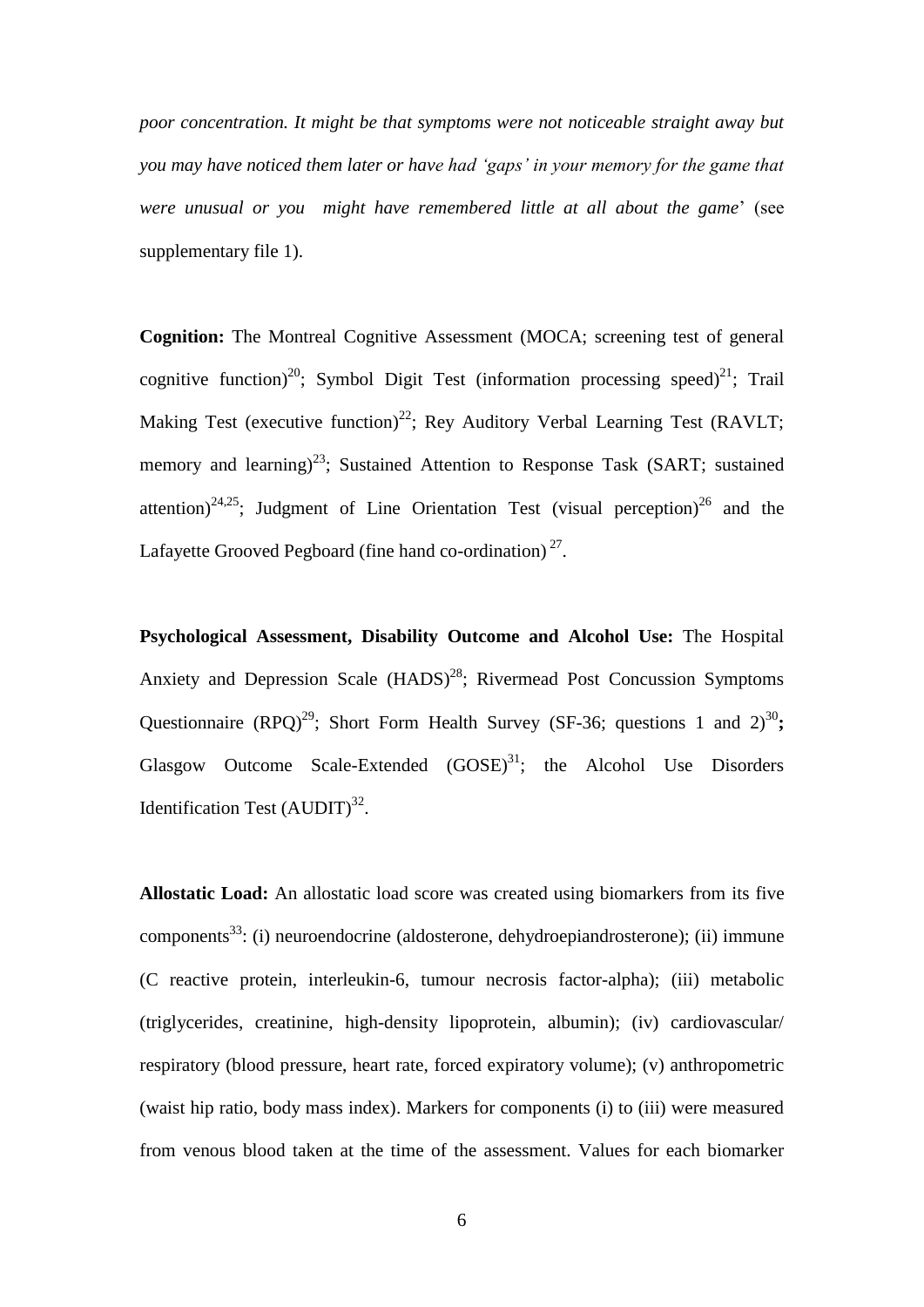*poor concentration. It might be that symptoms were not noticeable straight away but you may have noticed them later or have had 'gaps' in your memory for the game that were unusual or you might have remembered little at all about the game*' (see supplementary file 1).

**Cognition:** The Montreal Cognitive Assessment (MOCA; screening test of general cognitive function)<sup>20</sup>; Symbol Digit Test (information processing speed)<sup>21</sup>; Trail Making Test (executive function)<sup>22</sup>; Rey Auditory Verbal Learning Test (RAVLT; memory and learning)<sup>23</sup>; Sustained Attention to Response Task (SART; sustained attention)<sup>24,25</sup>; Judgment of Line Orientation Test (visual perception)<sup>26</sup> and the Lafayette Grooved Pegboard (fine hand co-ordination) $2^7$ .

**Psychological Assessment, Disability Outcome and Alcohol Use:** The Hospital Anxiety and Depression Scale (HADS)<sup>28</sup>; Rivermead Post Concussion Symptoms Questionnaire (RPQ)<sup>29</sup>; Short Form Health Survey (SF-36; questions 1 and  $2^{30}$ ; Glasgow Outcome Scale-Extended  $(GOSE)^{31}$ ; the Alcohol Use Disorders Identification Test  $(AUDIT)^{32}$ .

**Allostatic Load:** An allostatic load score was created using biomarkers from its five components<sup>33</sup>: (i) neuroendocrine (aldosterone, dehydroepiandrosterone); (ii) immune (C reactive protein, interleukin-6, tumour necrosis factor-alpha); (iii) metabolic (triglycerides, creatinine, high-density lipoprotein, albumin); (iv) cardiovascular/ respiratory (blood pressure, heart rate, forced expiratory volume); (v) anthropometric (waist hip ratio, body mass index). Markers for components (i) to (iii) were measured from venous blood taken at the time of the assessment. Values for each biomarker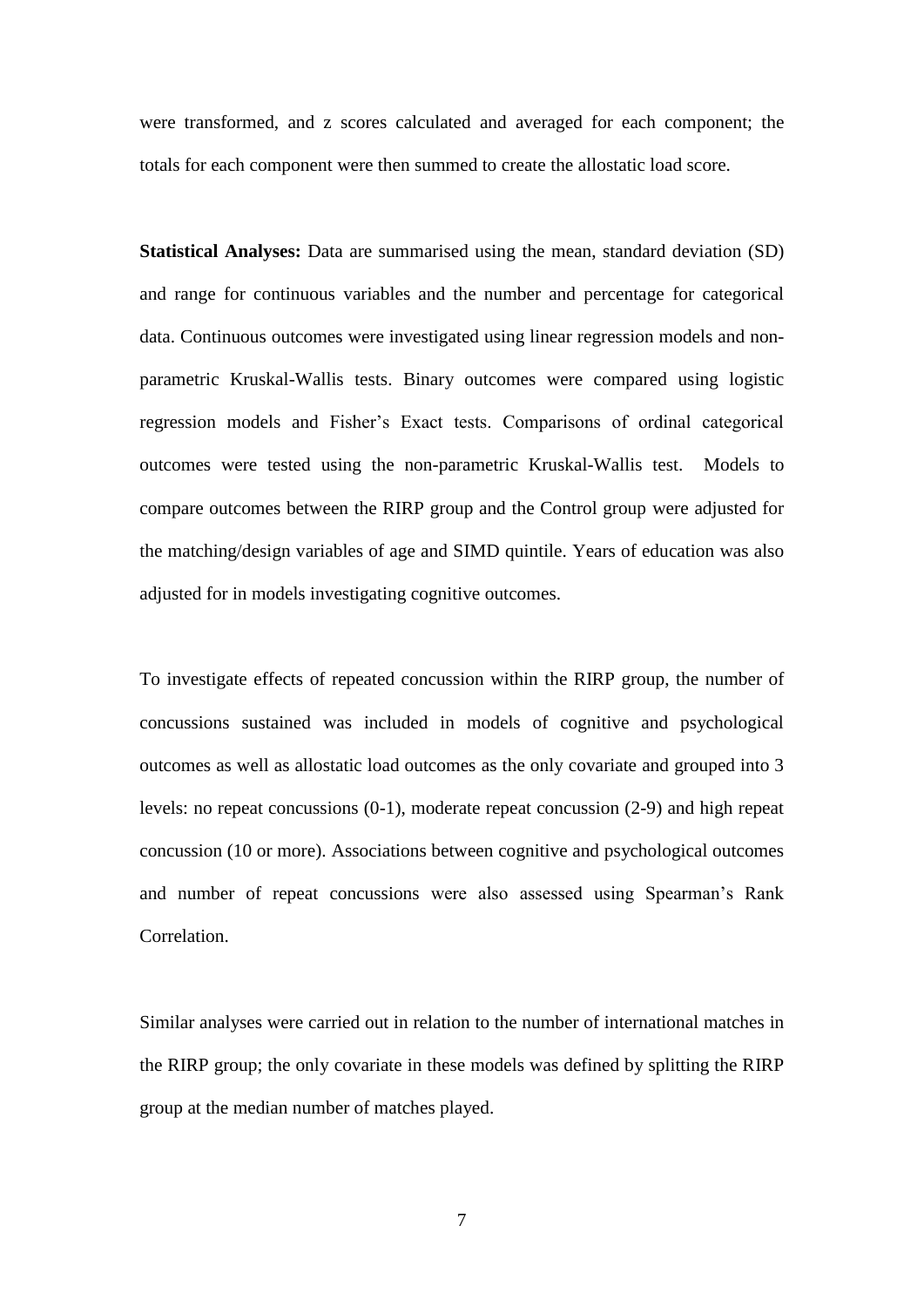were transformed, and z scores calculated and averaged for each component; the totals for each component were then summed to create the allostatic load score.

**Statistical Analyses:** Data are summarised using the mean, standard deviation (SD) and range for continuous variables and the number and percentage for categorical data. Continuous outcomes were investigated using linear regression models and nonparametric Kruskal-Wallis tests. Binary outcomes were compared using logistic regression models and Fisher's Exact tests. Comparisons of ordinal categorical outcomes were tested using the non-parametric Kruskal-Wallis test. Models to compare outcomes between the RIRP group and the Control group were adjusted for the matching/design variables of age and SIMD quintile. Years of education was also adjusted for in models investigating cognitive outcomes.

To investigate effects of repeated concussion within the RIRP group, the number of concussions sustained was included in models of cognitive and psychological outcomes as well as allostatic load outcomes as the only covariate and grouped into 3 levels: no repeat concussions (0-1), moderate repeat concussion (2-9) and high repeat concussion (10 or more). Associations between cognitive and psychological outcomes and number of repeat concussions were also assessed using Spearman's Rank Correlation.

Similar analyses were carried out in relation to the number of international matches in the RIRP group; the only covariate in these models was defined by splitting the RIRP group at the median number of matches played.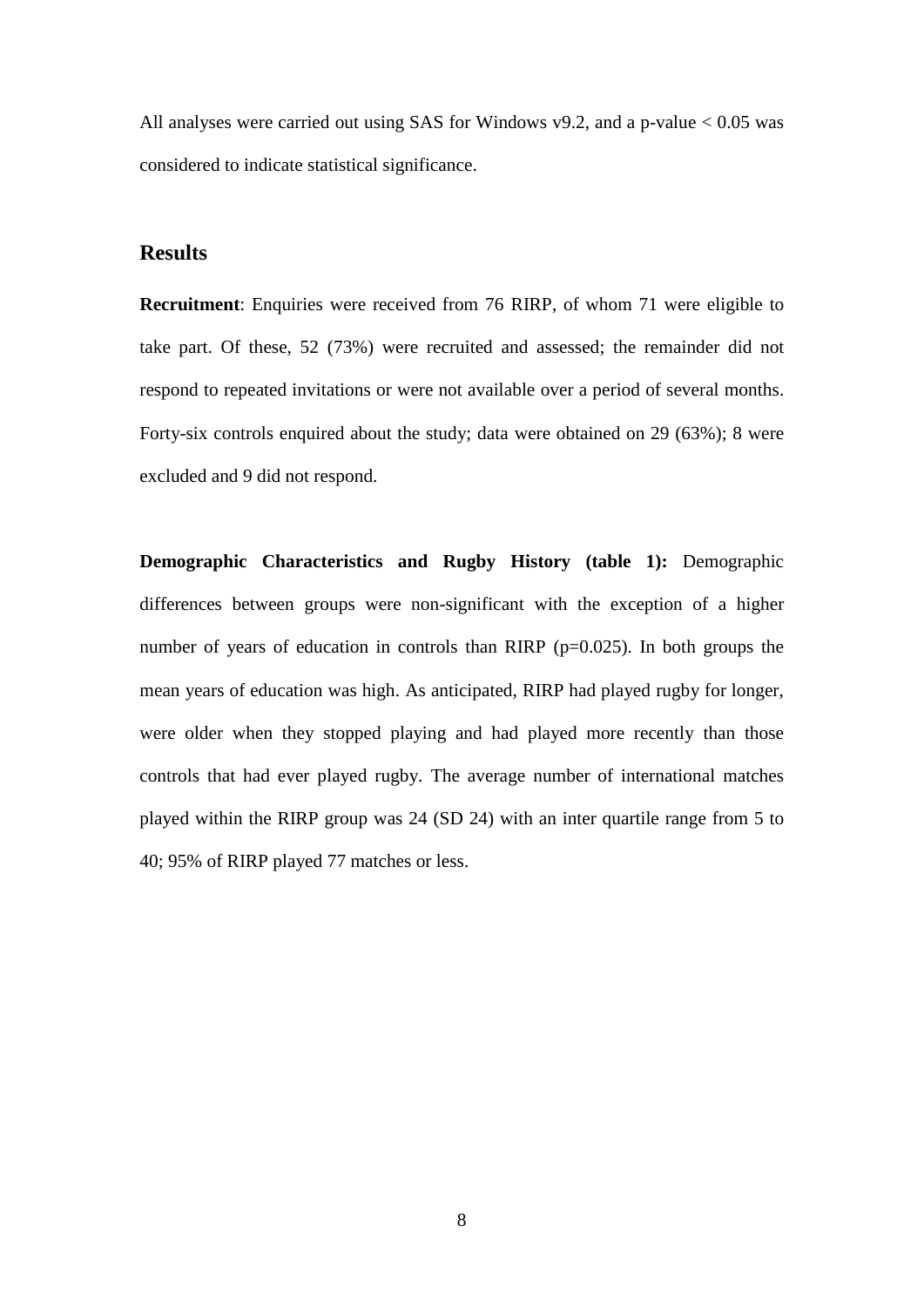All analyses were carried out using SAS for Windows v9.2, and a p-value < 0.05 was considered to indicate statistical significance.

## **Results**

**Recruitment**: Enquiries were received from 76 RIRP, of whom 71 were eligible to take part. Of these, 52 (73%) were recruited and assessed; the remainder did not respond to repeated invitations or were not available over a period of several months. Forty-six controls enquired about the study; data were obtained on 29 (63%); 8 were excluded and 9 did not respond.

**Demographic Characteristics and Rugby History (table 1):** Demographic differences between groups were non-significant with the exception of a higher number of years of education in controls than RIRP (p=0.025). In both groups the mean years of education was high. As anticipated, RIRP had played rugby for longer, were older when they stopped playing and had played more recently than those controls that had ever played rugby. The average number of international matches played within the RIRP group was 24 (SD 24) with an inter quartile range from 5 to 40; 95% of RIRP played 77 matches or less.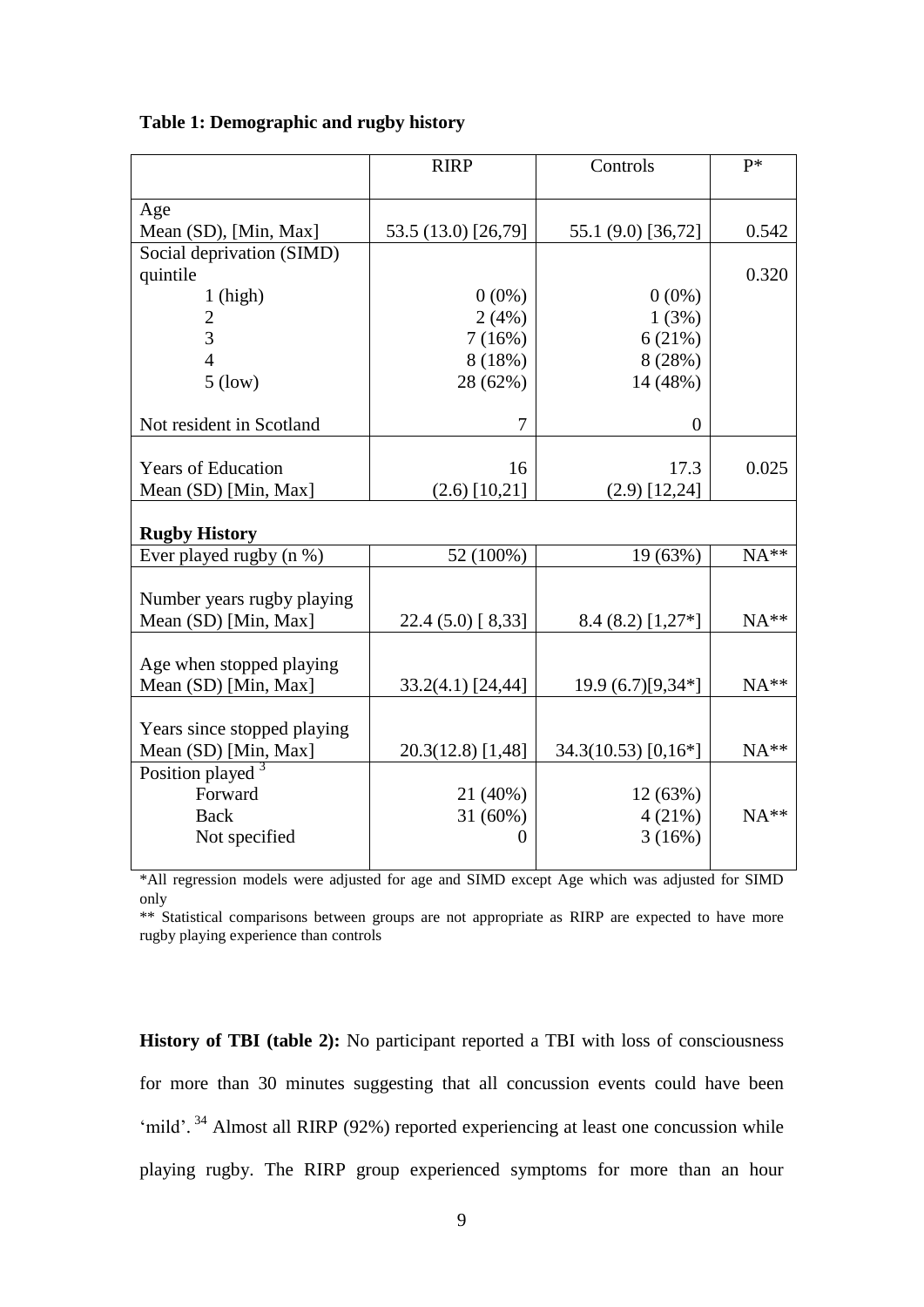|                                         | <b>RIRP</b>                | Controls              | p*     |
|-----------------------------------------|----------------------------|-----------------------|--------|
| Age                                     |                            |                       |        |
| Mean (SD), [Min, Max]                   | 53.5 (13.0) [26,79]        | 55.1 (9.0) [36,72]    | 0.542  |
| Social deprivation (SIMD)               |                            |                       |        |
| quintile                                |                            |                       | 0.320  |
| $1$ (high)                              | $0(0\%)$                   | $0(0\%)$              |        |
| $\overline{2}$                          | 2(4%)                      | 1(3%)                 |        |
| 3                                       | 7(16%)                     | 6(21%)                |        |
| $\overline{4}$                          | 8(18%)                     | 8(28%)                |        |
| $5$ (low)                               | 28 (62%)                   | 14 (48%)              |        |
| Not resident in Scotland                | $\tau$                     | $\overline{0}$        |        |
|                                         |                            |                       |        |
| <b>Years of Education</b>               | 16                         | 17.3                  | 0.025  |
| Mean (SD) [Min, Max]                    | $(2.6)$ [10,21]            | $(2.9)$ [12,24]       |        |
| <b>Rugby History</b>                    |                            |                       |        |
| Ever played rugby (n %)                 | 52 (100%)                  | 19 (63%)              | $NA**$ |
|                                         |                            |                       |        |
| Number years rugby playing              |                            |                       |        |
| Mean (SD) [Min, Max]                    | 22.4 (5.0) [8,33]          | $8.4(8.2)[1,27*]$     | NA**   |
|                                         |                            |                       |        |
| Age when stopped playing                |                            |                       |        |
| Mean (SD) [Min, Max]                    | 33.2(4.1) [24,44]          | $19.9(6.7)[9,34*]$    | $NA**$ |
|                                         |                            |                       |        |
| Years since stopped playing             |                            |                       |        |
| Mean (SD) [Min, Max]                    | 20.3(12.8) [1,48]          | $34.3(10.53)$ [0,16*] | $NA**$ |
| Position played <sup>3</sup><br>Forward |                            |                       |        |
|                                         | 21 (40%)                   | 12(63%)               | $NA**$ |
| <b>Back</b>                             | 31 (60%)<br>$\overline{0}$ | 4(21%)<br>3(16%)      |        |
| Not specified                           |                            |                       |        |
|                                         |                            |                       |        |

### **Table 1: Demographic and rugby history**

\*All regression models were adjusted for age and SIMD except Age which was adjusted for SIMD only

\*\* Statistical comparisons between groups are not appropriate as RIRP are expected to have more rugby playing experience than controls

**History of TBI (table 2):** No participant reported a TBI with loss of consciousness for more than 30 minutes suggesting that all concussion events could have been 'mild'.<sup>34</sup> Almost all RIRP (92%) reported experiencing at least one concussion while playing rugby. The RIRP group experienced symptoms for more than an hour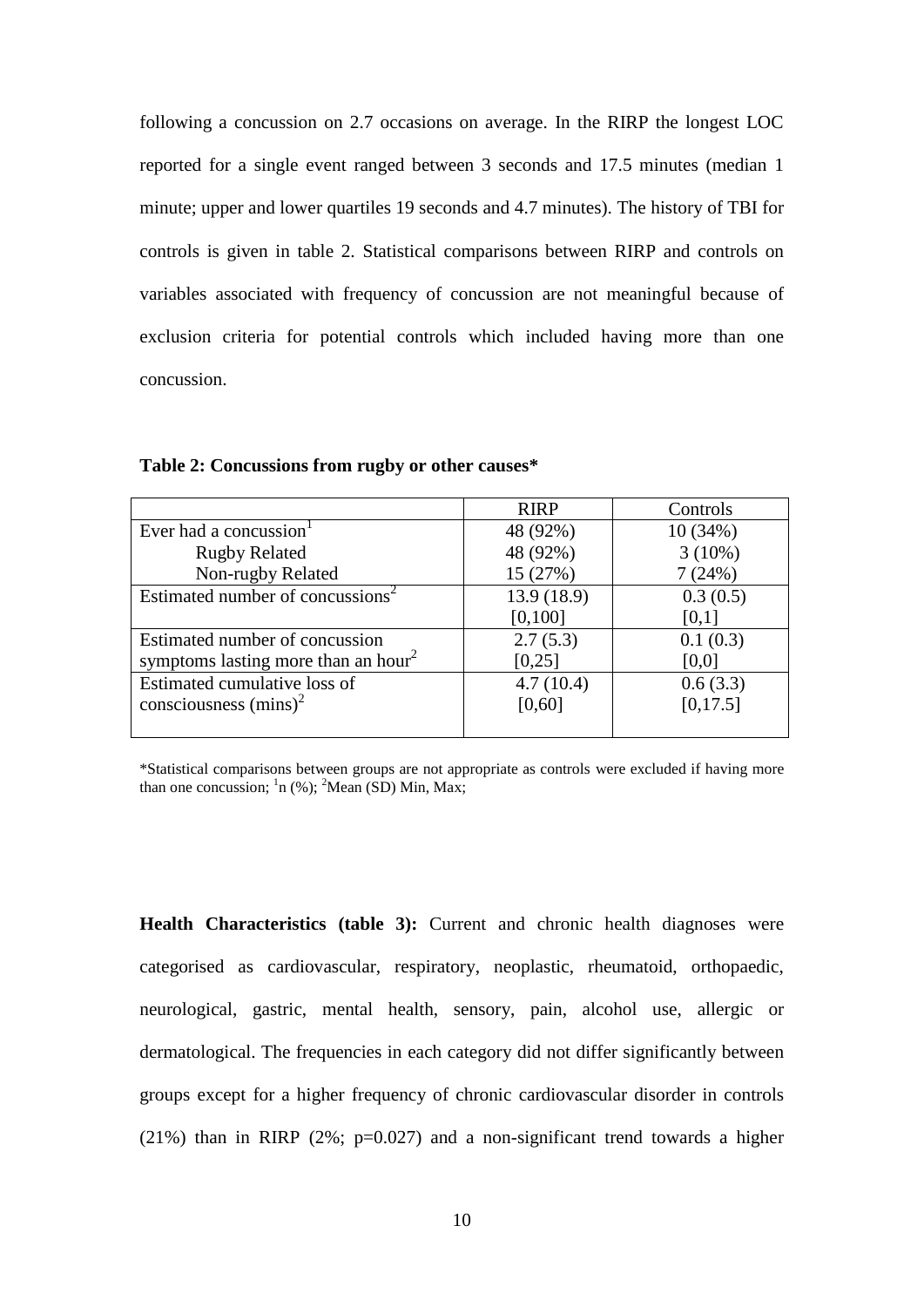following a concussion on 2.7 occasions on average. In the RIRP the longest LOC reported for a single event ranged between 3 seconds and 17.5 minutes (median 1 minute; upper and lower quartiles 19 seconds and 4.7 minutes). The history of TBI for controls is given in table 2. Statistical comparisons between RIRP and controls on variables associated with frequency of concussion are not meaningful because of exclusion criteria for potential controls which included having more than one concussion.

|                                                 | <b>RIRP</b> | Controls  |
|-------------------------------------------------|-------------|-----------|
| Ever had a concussion                           | 48 (92%)    | 10(34%)   |
| <b>Rugby Related</b>                            | 48 (92%)    | $3(10\%)$ |
| Non-rugby Related                               | 15 (27%)    | 7(24%)    |
| Estimated number of concussions <sup>2</sup>    | 13.9 (18.9) | 0.3(0.5)  |
|                                                 | [0,100]     | [0,1]     |
| Estimated number of concussion                  | 2.7(5.3)    | 0.1(0.3)  |
| symptoms lasting more than an hour <sup>2</sup> | [0,25]      | [0,0]     |
| Estimated cumulative loss of                    | 4.7(10.4)   | 0.6(3.3)  |
| consciousness $(mins)^2$                        | [0,60]      | [0,17.5]  |
|                                                 |             |           |

**Table 2: Concussions from rugby or other causes\***

\*Statistical comparisons between groups are not appropriate as controls were excluded if having more than one concussion;  $\frac{1}{n}$  (%);  $\frac{2}{1}$ Mean (SD) Min, Max;

**Health Characteristics (table 3):** Current and chronic health diagnoses were categorised as cardiovascular, respiratory, neoplastic, rheumatoid, orthopaedic, neurological, gastric, mental health, sensory, pain, alcohol use, allergic or dermatological. The frequencies in each category did not differ significantly between groups except for a higher frequency of chronic cardiovascular disorder in controls (21%) than in RIRP (2%;  $p=0.027$ ) and a non-significant trend towards a higher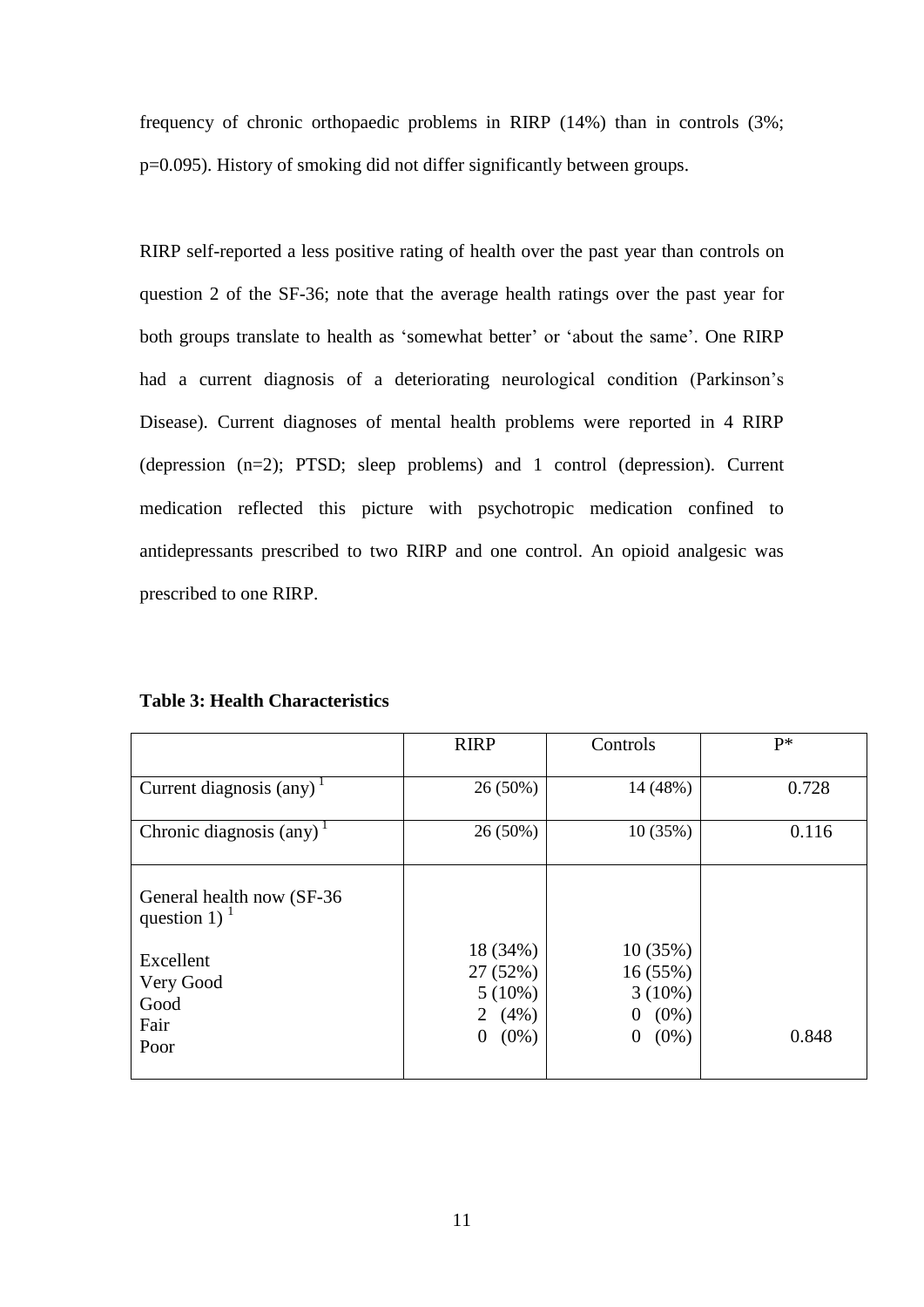frequency of chronic orthopaedic problems in RIRP (14%) than in controls (3%; p=0.095). History of smoking did not differ significantly between groups.

RIRP self-reported a less positive rating of health over the past year than controls on question 2 of the SF-36; note that the average health ratings over the past year for both groups translate to health as 'somewhat better' or 'about the same'. One RIRP had a current diagnosis of a deteriorating neurological condition (Parkinson's Disease). Current diagnoses of mental health problems were reported in 4 RIRP (depression (n=2); PTSD; sleep problems) and 1 control (depression). Current medication reflected this picture with psychotropic medication confined to antidepressants prescribed to two RIRP and one control. An opioid analgesic was prescribed to one RIRP.

**Table 3: Health Characteristics**

|                                                                                                 | <b>RIRP</b>                                                          | Controls                                                        | $P*$  |
|-------------------------------------------------------------------------------------------------|----------------------------------------------------------------------|-----------------------------------------------------------------|-------|
| Current diagnosis (any) <sup>1</sup>                                                            | $26(50\%)$                                                           | 14 (48%)                                                        | 0.728 |
| Chronic diagnosis $\text{(any)}^1$                                                              | 26 (50%)                                                             | 10 (35%)                                                        | 0.116 |
| General health now (SF-36)<br>question 1) $1$<br>Excellent<br>Very Good<br>Good<br>Fair<br>Poor | 18 (34%)<br>27(52%)<br>$5(10\%)$<br>2 $(4\%)$<br>$(0\%)$<br>$\theta$ | 10(35%)<br>16(55%)<br>$3(10\%)$<br>$(0\%)$<br>0<br>$(0\%)$<br>0 | 0.848 |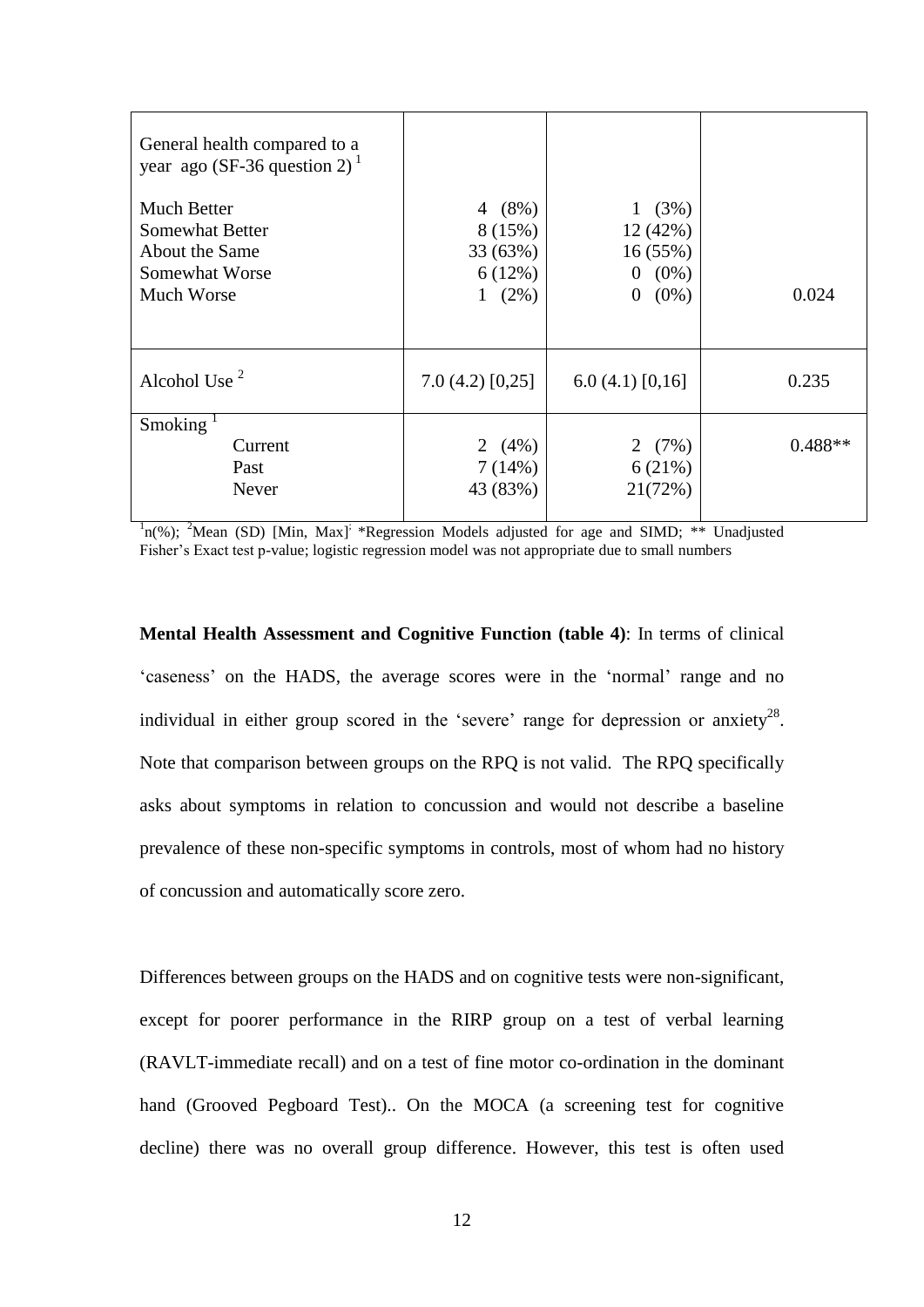| General health compared to a<br>year ago (SF-36 question 2) <sup>1</sup> |                |                           |           |
|--------------------------------------------------------------------------|----------------|---------------------------|-----------|
| Much Better                                                              | 4 $(8%)$       | (3%)<br>$\mathbf{1}$      |           |
| <b>Somewhat Better</b>                                                   | 8 (15%)        | 12 (42%)                  |           |
| About the Same                                                           | 33(63%)        | 16(55%)                   |           |
| Somewhat Worse                                                           | 6(12%)         | $0(0\%)$                  |           |
| Much Worse                                                               | $1(2\%)$       | $\overline{0}$<br>$(0\%)$ | 0.024     |
|                                                                          |                |                           |           |
| Alcohol Use $2$                                                          | 7.0(4.2)[0,25] | 6.0(4.1)[0,16]            | 0.235     |
| Smoking $1$                                                              |                |                           |           |
| Current                                                                  | 2 $(4\%)$      | 2 $(7%)$                  | $0.488**$ |
| Past                                                                     | 7(14%)         | 6(21%)                    |           |
| Never                                                                    | 43 (83%)       | 21(72%)                   |           |
|                                                                          |                |                           |           |

 $n^1$ n(%); <sup>2</sup>Mean (SD) [Min, Max]<sup>;</sup> \*Regression Models adjusted for age and SIMD; \*\* Unadjusted Fisher's Exact test p-value; logistic regression model was not appropriate due to small numbers

**Mental Health Assessment and Cognitive Function (table 4)**: In terms of clinical 'caseness' on the HADS, the average scores were in the 'normal' range and no individual in either group scored in the 'severe' range for depression or anxiety<sup>28</sup>. Note that comparison between groups on the RPQ is not valid. The RPQ specifically asks about symptoms in relation to concussion and would not describe a baseline prevalence of these non-specific symptoms in controls, most of whom had no history of concussion and automatically score zero.

Differences between groups on the HADS and on cognitive tests were non-significant, except for poorer performance in the RIRP group on a test of verbal learning (RAVLT-immediate recall) and on a test of fine motor co-ordination in the dominant hand (Grooved Pegboard Test).. On the MOCA (a screening test for cognitive decline) there was no overall group difference. However, this test is often used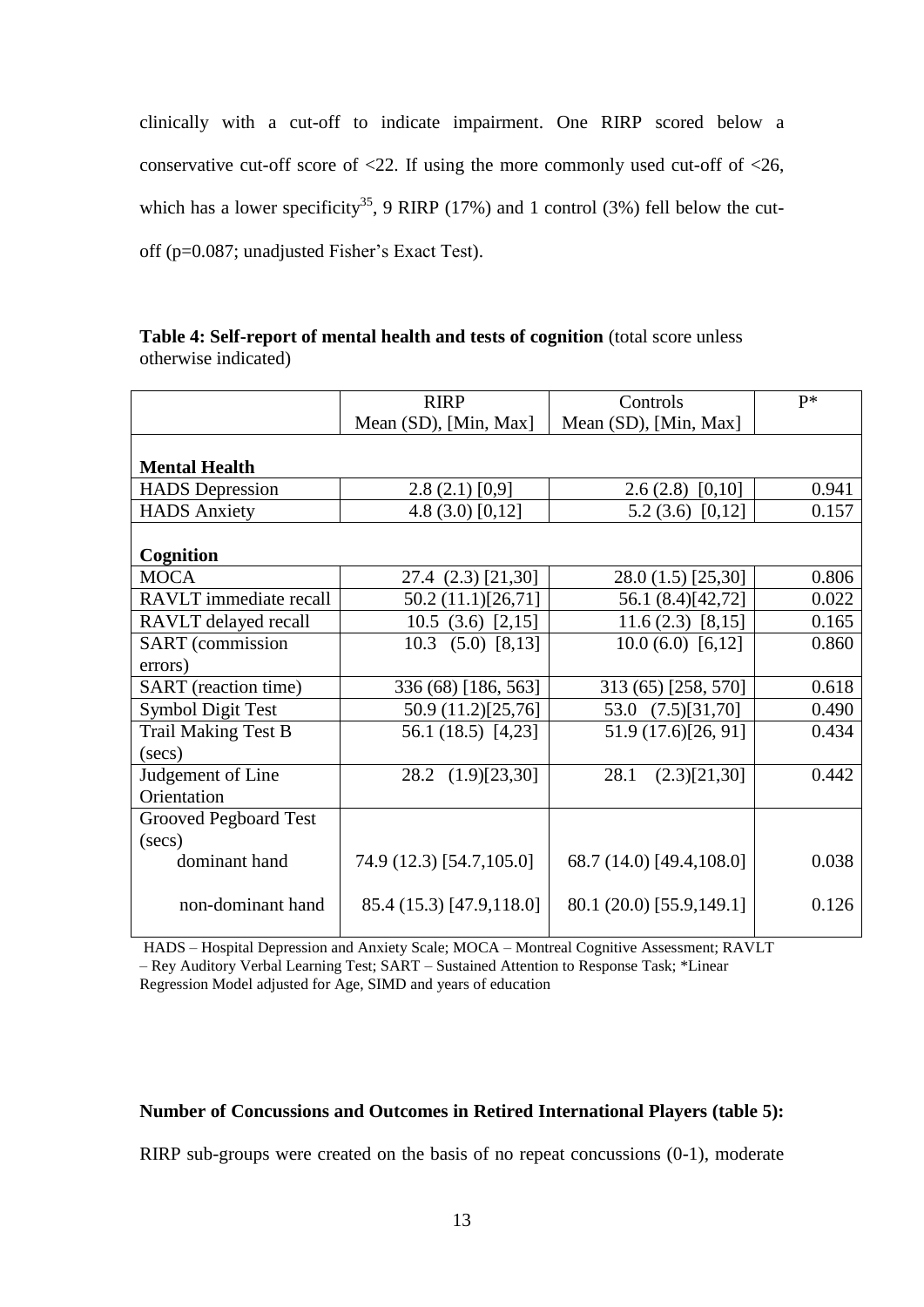clinically with a cut-off to indicate impairment. One RIRP scored below a conservative cut-off score of  $\langle 22$ . If using the more commonly used cut-off of  $\langle 26, 12 \rangle$ which has a lower specificity<sup>35</sup>, 9 RIRP (17%) and 1 control (3%) fell below the cutoff (p=0.087; unadjusted Fisher's Exact Test).

| Table 4: Self-report of mental health and tests of cognition (total score unless |  |
|----------------------------------------------------------------------------------|--|
| otherwise indicated)                                                             |  |

|                             | <b>RIRP</b>              | Controls                 | $P*$  |
|-----------------------------|--------------------------|--------------------------|-------|
|                             | Mean (SD), [Min, Max]    | Mean (SD), [Min, Max]    |       |
|                             |                          |                          |       |
| <b>Mental Health</b>        |                          |                          |       |
| <b>HADS</b> Depression      | 2.8(2.1)[0,9]            | $2.6(2.8)$ [0,10]        | 0.941 |
| <b>HADS</b> Anxiety         | 4.8 $(3.0)$ [0,12]       | 5.2 $(3.6)$ [0,12]       | 0.157 |
|                             |                          |                          |       |
| Cognition                   |                          |                          |       |
| <b>MOCA</b>                 | 27.4 (2.3) [21,30]       | 28.0 (1.5) [25,30]       | 0.806 |
| RAVLT immediate recall      | 50.2 (11.1)[26,71]       | 56.1 (8.4)[42,72]        | 0.022 |
| RAVLT delayed recall        | 10.5(3.6)[2,15]          | $11.6(2.3)$ [8,15]       | 0.165 |
| <b>SART</b> (commission     | $10.3$ $(5.0)$ $[8,13]$  | 10.0(6.0)[6,12]          | 0.860 |
| errors)                     |                          |                          |       |
| <b>SART</b> (reaction time) | 336 (68) [186, 563]      | 313 (65) [258, 570]      | 0.618 |
| <b>Symbol Digit Test</b>    | 50.9 (11.2)[25,76]       | 53.0<br>(7.5)[31,70]     | 0.490 |
| <b>Trail Making Test B</b>  | 56.1 (18.5) [4,23]       | 51.9 (17.6)[26, 91]      | 0.434 |
| $(\sec s)$                  |                          |                          |       |
| Judgement of Line           | 28.2 (1.9)[23,30]        | 28.1<br>(2.3)[21,30]     | 0.442 |
| Orientation                 |                          |                          |       |
| Grooved Pegboard Test       |                          |                          |       |
| $(\sec s)$                  |                          |                          |       |
| dominant hand               | 74.9 (12.3) [54.7,105.0] | 68.7 (14.0) [49.4,108.0] | 0.038 |
|                             |                          |                          |       |
| non-dominant hand           | 85.4 (15.3) [47.9,118.0] | 80.1 (20.0) [55.9,149.1] | 0.126 |
|                             |                          |                          |       |

HADS – Hospital Depression and Anxiety Scale; MOCA – Montreal Cognitive Assessment; RAVLT

– Rey Auditory Verbal Learning Test; SART – Sustained Attention to Response Task; \*Linear Regression Model adjusted for Age, SIMD and years of education

## **Number of Concussions and Outcomes in Retired International Players (table 5):**

RIRP sub-groups were created on the basis of no repeat concussions (0-1), moderate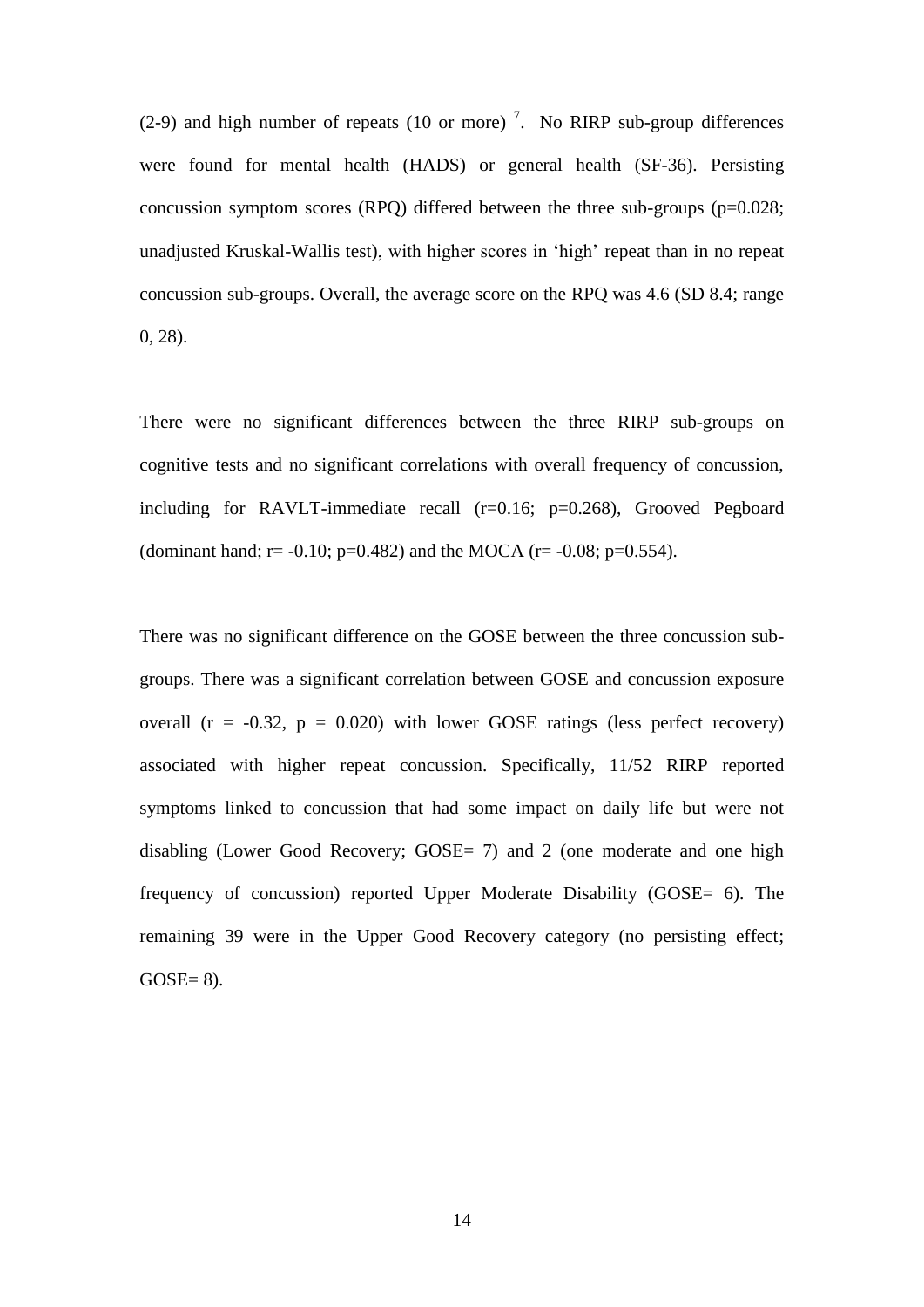(2-9) and high number of repeats (10 or more)<sup>7</sup>. No RIRP sub-group differences were found for mental health (HADS) or general health (SF-36). Persisting concussion symptom scores (RPQ) differed between the three sub-groups (p=0.028; unadjusted Kruskal-Wallis test), with higher scores in 'high' repeat than in no repeat concussion sub-groups. Overall, the average score on the RPQ was 4.6 (SD 8.4; range 0, 28).

There were no significant differences between the three RIRP sub-groups on cognitive tests and no significant correlations with overall frequency of concussion, including for RAVLT-immediate recall  $(r=0.16; p=0.268)$ , Grooved Pegboard (dominant hand; r = -0.10; p=0.482) and the MOCA (r = -0.08; p=0.554).

There was no significant difference on the GOSE between the three concussion subgroups. There was a significant correlation between GOSE and concussion exposure overall ( $r = -0.32$ ,  $p = 0.020$ ) with lower GOSE ratings (less perfect recovery) associated with higher repeat concussion. Specifically, 11/52 RIRP reported symptoms linked to concussion that had some impact on daily life but were not disabling (Lower Good Recovery; GOSE= 7) and 2 (one moderate and one high frequency of concussion) reported Upper Moderate Disability (GOSE= 6). The remaining 39 were in the Upper Good Recovery category (no persisting effect;  $GOSE=8$ ).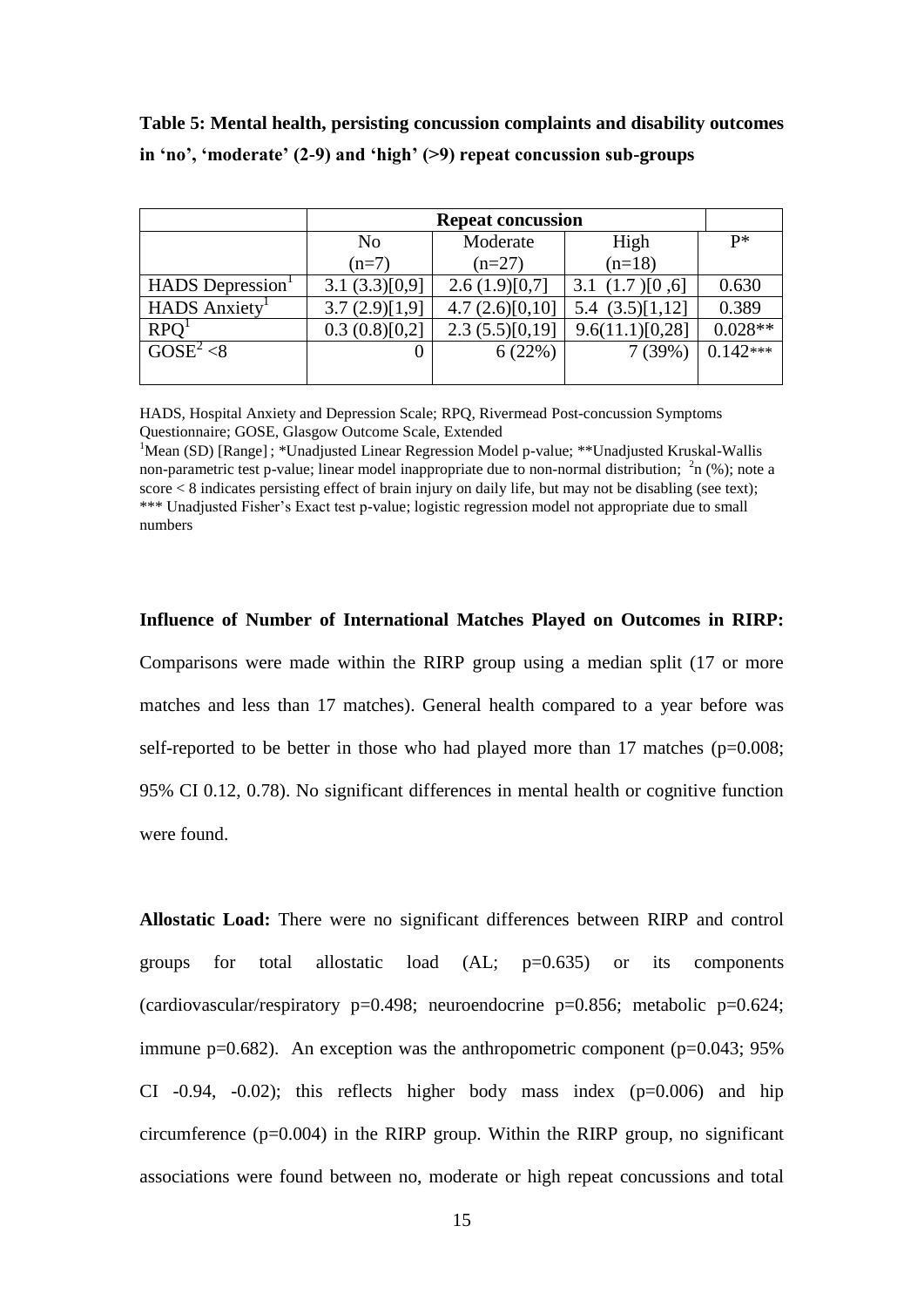|                           | <b>Repeat concussion</b> |                |                   |            |
|---------------------------|--------------------------|----------------|-------------------|------------|
|                           | N <sub>0</sub>           | Moderate       | High              | $P*$       |
|                           | $(n=7)$                  | $(n=27)$       | $(n=18)$          |            |
| <b>HADS</b> Depression    | 3.1(3.3)[0,9]            | 2.6(1.9)[0,7]  | 3.1 $(1.7)$ [0,6] | 0.630      |
| HADS Anxiety <sup>1</sup> | 3.7(2.9)[1,9]            | 4.7(2.6)[0,10] | 5.4 $(3.5)[1,12]$ | 0.389      |
| <b>RPO</b>                | 0.3(0.8)[0,2]            | 2.3(5.5)[0,19] | 9.6(11.1)[0,28]   | $0.028**$  |
| $GOSE^2 < 8$              | 0                        | 6(22%)         | 7(39%)            | $0.142***$ |
|                           |                          |                |                   |            |

**Table 5: Mental health, persisting concussion complaints and disability outcomes in 'no', 'moderate' (2-9) and 'high' (>9) repeat concussion sub-groups** 

HADS, Hospital Anxiety and Depression Scale; RPQ, Rivermead Post-concussion Symptoms Questionnaire; GOSE, Glasgow Outcome Scale, Extended

<sup>1</sup>Mean (SD) [Range]; \*Unadjusted Linear Regression Model p-value; \*\*Unadjusted Kruskal-Wallis non-parametric test p-value; linear model inappropriate due to non-normal distribution;  $\lambda$ <sup>2</sup>n (%); note a score < 8 indicates persisting effect of brain injury on daily life, but may not be disabling (see text); \*\*\* Unadjusted Fisher's Exact test p-value; logistic regression model not appropriate due to small numbers

#### **Influence of Number of International Matches Played on Outcomes in RIRP:**

Comparisons were made within the RIRP group using a median split (17 or more matches and less than 17 matches). General health compared to a year before was self-reported to be better in those who had played more than 17 matches (p=0.008; 95% CI 0.12, 0.78). No significant differences in mental health or cognitive function were found.

**Allostatic Load:** There were no significant differences between RIRP and control groups for total allostatic load (AL; p=0.635) or its components (cardiovascular/respiratory p=0.498; neuroendocrine p=0.856; metabolic p=0.624; immune p=0.682). An exception was the anthropometric component (p=0.043; 95%) CI  $-0.94$ ,  $-0.02$ ); this reflects higher body mass index ( $p=0.006$ ) and hip circumference  $(p=0.004)$  in the RIRP group. Within the RIRP group, no significant associations were found between no, moderate or high repeat concussions and total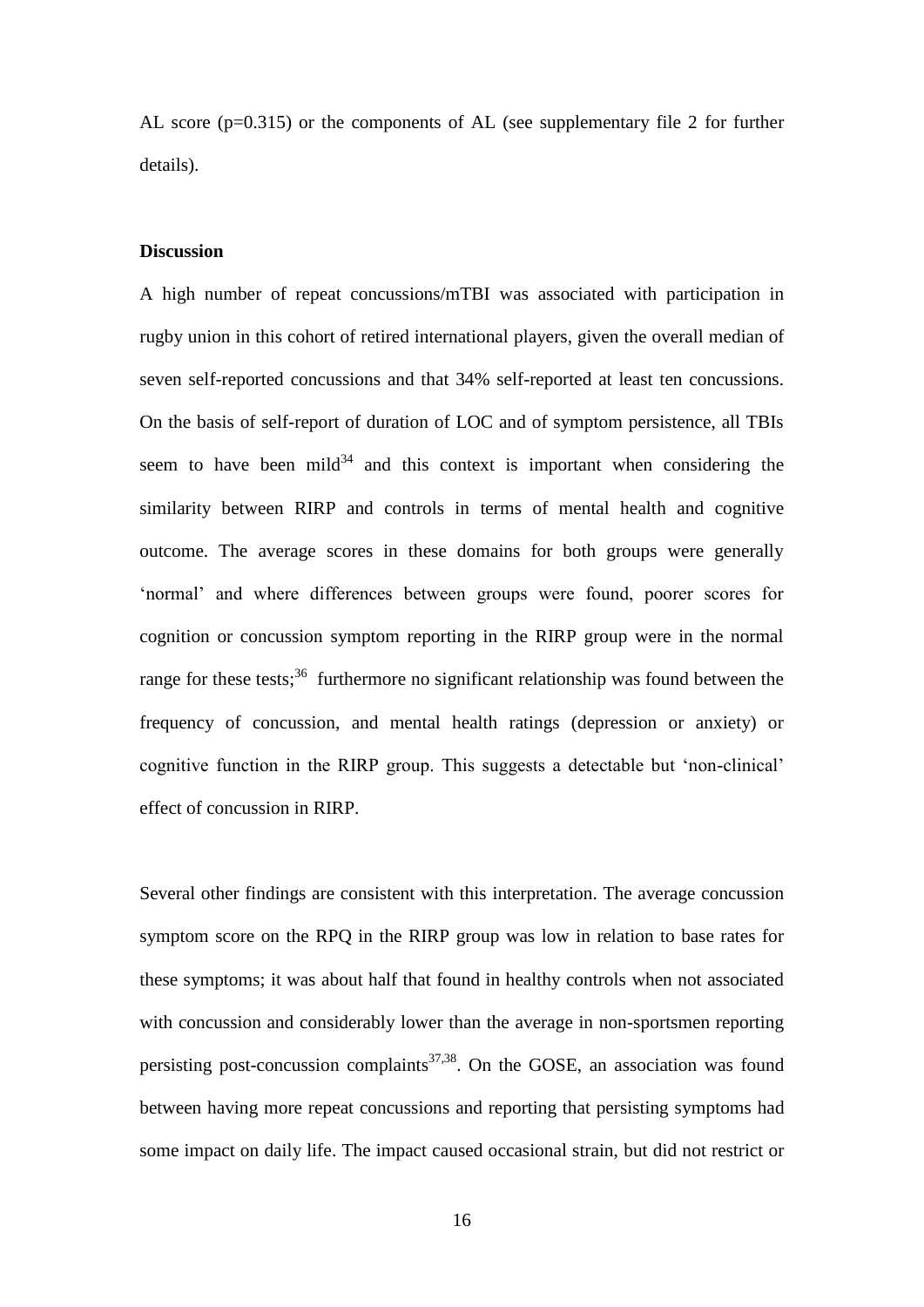AL score (p=0.315) or the components of AL (see supplementary file 2 for further details).

## **Discussion**

A high number of repeat concussions/mTBI was associated with participation in rugby union in this cohort of retired international players, given the overall median of seven self-reported concussions and that 34% self-reported at least ten concussions. On the basis of self-report of duration of LOC and of symptom persistence, all TBIs seem to have been mild<sup>34</sup> and this context is important when considering the similarity between RIRP and controls in terms of mental health and cognitive outcome. The average scores in these domains for both groups were generally 'normal' and where differences between groups were found, poorer scores for cognition or concussion symptom reporting in the RIRP group were in the normal range for these tests;<sup>36</sup> furthermore no significant relationship was found between the frequency of concussion, and mental health ratings (depression or anxiety) or cognitive function in the RIRP group. This suggests a detectable but 'non-clinical' effect of concussion in RIRP.

Several other findings are consistent with this interpretation. The average concussion symptom score on the RPQ in the RIRP group was low in relation to base rates for these symptoms; it was about half that found in healthy controls when not associated with concussion and considerably lower than the average in non-sportsmen reporting persisting post-concussion complaints<sup>37,38</sup>. On the GOSE, an association was found between having more repeat concussions and reporting that persisting symptoms had some impact on daily life. The impact caused occasional strain, but did not restrict or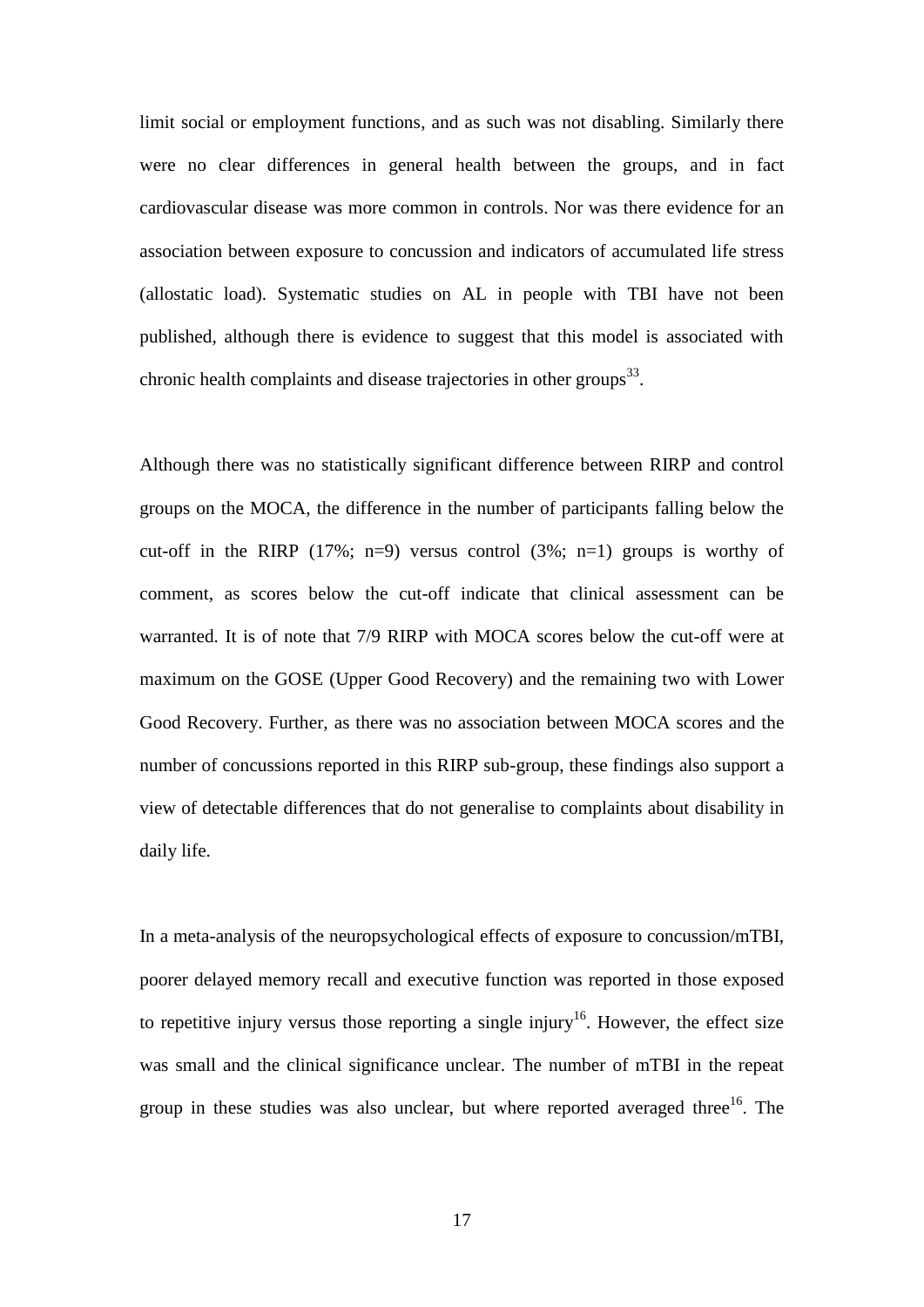limit social or employment functions, and as such was not disabling. Similarly there were no clear differences in general health between the groups, and in fact cardiovascular disease was more common in controls. Nor was there evidence for an association between exposure to concussion and indicators of accumulated life stress (allostatic load). Systematic studies on AL in people with TBI have not been published, although there is evidence to suggest that this model is associated with chronic health complaints and disease trajectories in other groups $^{33}$ .

Although there was no statistically significant difference between RIRP and control groups on the MOCA, the difference in the number of participants falling below the cut-off in the RIRP  $(17\%)$ ; n=9) versus control  $(3\%)$ ; n=1) groups is worthy of comment, as scores below the cut-off indicate that clinical assessment can be warranted. It is of note that 7/9 RIRP with MOCA scores below the cut-off were at maximum on the GOSE (Upper Good Recovery) and the remaining two with Lower Good Recovery. Further, as there was no association between MOCA scores and the number of concussions reported in this RIRP sub-group, these findings also support a view of detectable differences that do not generalise to complaints about disability in daily life.

In a meta-analysis of the neuropsychological effects of exposure to concussion/mTBI, poorer delayed memory recall and executive function was reported in those exposed to repetitive injury versus those reporting a single injury<sup>16</sup>. However, the effect size was small and the clinical significance unclear. The number of mTBI in the repeat group in these studies was also unclear, but where reported averaged three  $16$ . The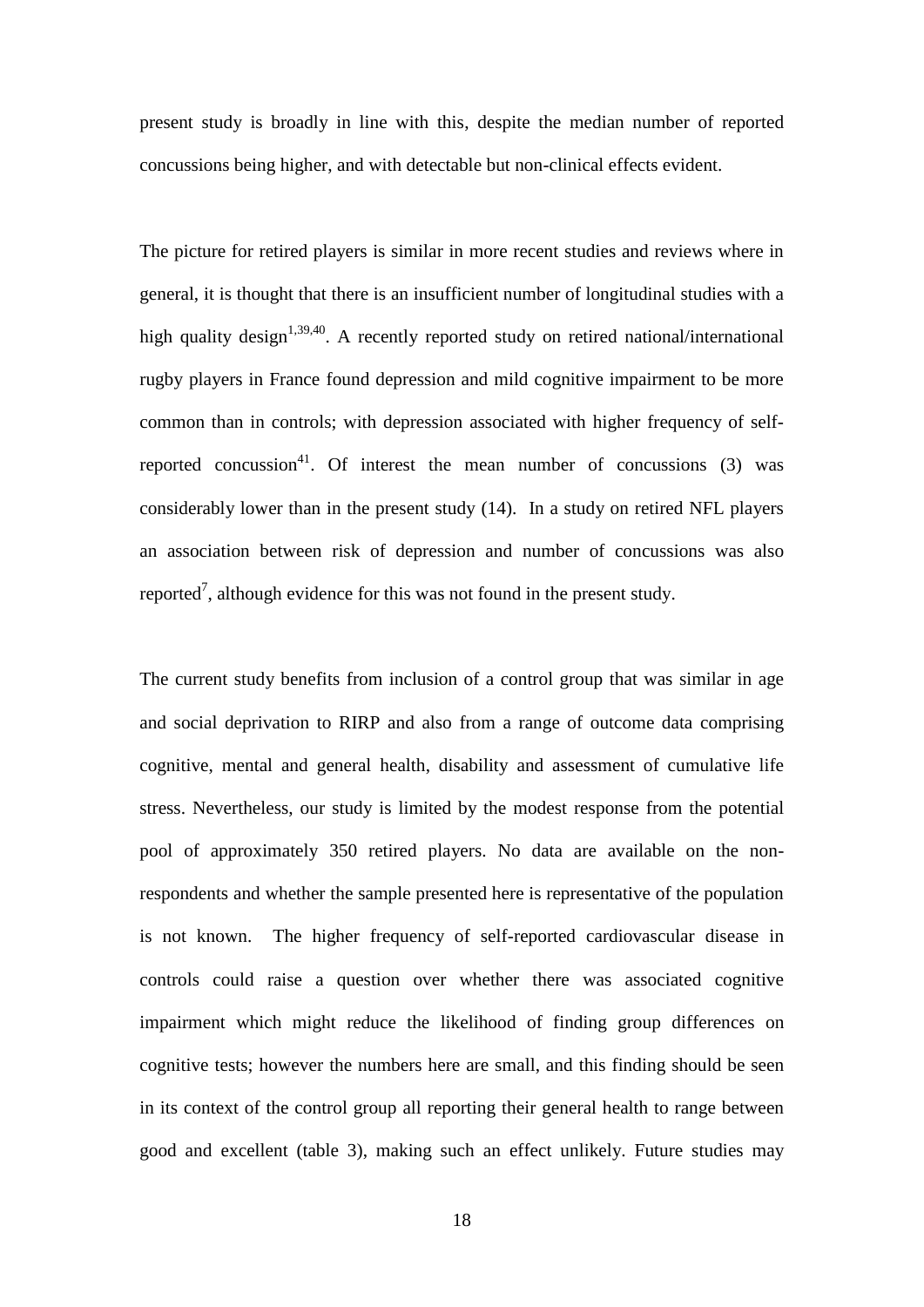present study is broadly in line with this, despite the median number of reported concussions being higher, and with detectable but non-clinical effects evident.

The picture for retired players is similar in more recent studies and reviews where in general, it is thought that there is an insufficient number of longitudinal studies with a high quality design<sup>1,39,40</sup>. A recently reported study on retired national/international rugby players in France found depression and mild cognitive impairment to be more common than in controls; with depression associated with higher frequency of selfreported concussion<sup>41</sup>. Of interest the mean number of concussions  $(3)$  was considerably lower than in the present study (14). In a study on retired NFL players an association between risk of depression and number of concussions was also reported<sup>7</sup>, although evidence for this was not found in the present study.

The current study benefits from inclusion of a control group that was similar in age and social deprivation to RIRP and also from a range of outcome data comprising cognitive, mental and general health, disability and assessment of cumulative life stress. Nevertheless, our study is limited by the modest response from the potential pool of approximately 350 retired players. No data are available on the nonrespondents and whether the sample presented here is representative of the population is not known. The higher frequency of self-reported cardiovascular disease in controls could raise a question over whether there was associated cognitive impairment which might reduce the likelihood of finding group differences on cognitive tests; however the numbers here are small, and this finding should be seen in its context of the control group all reporting their general health to range between good and excellent (table 3), making such an effect unlikely. Future studies may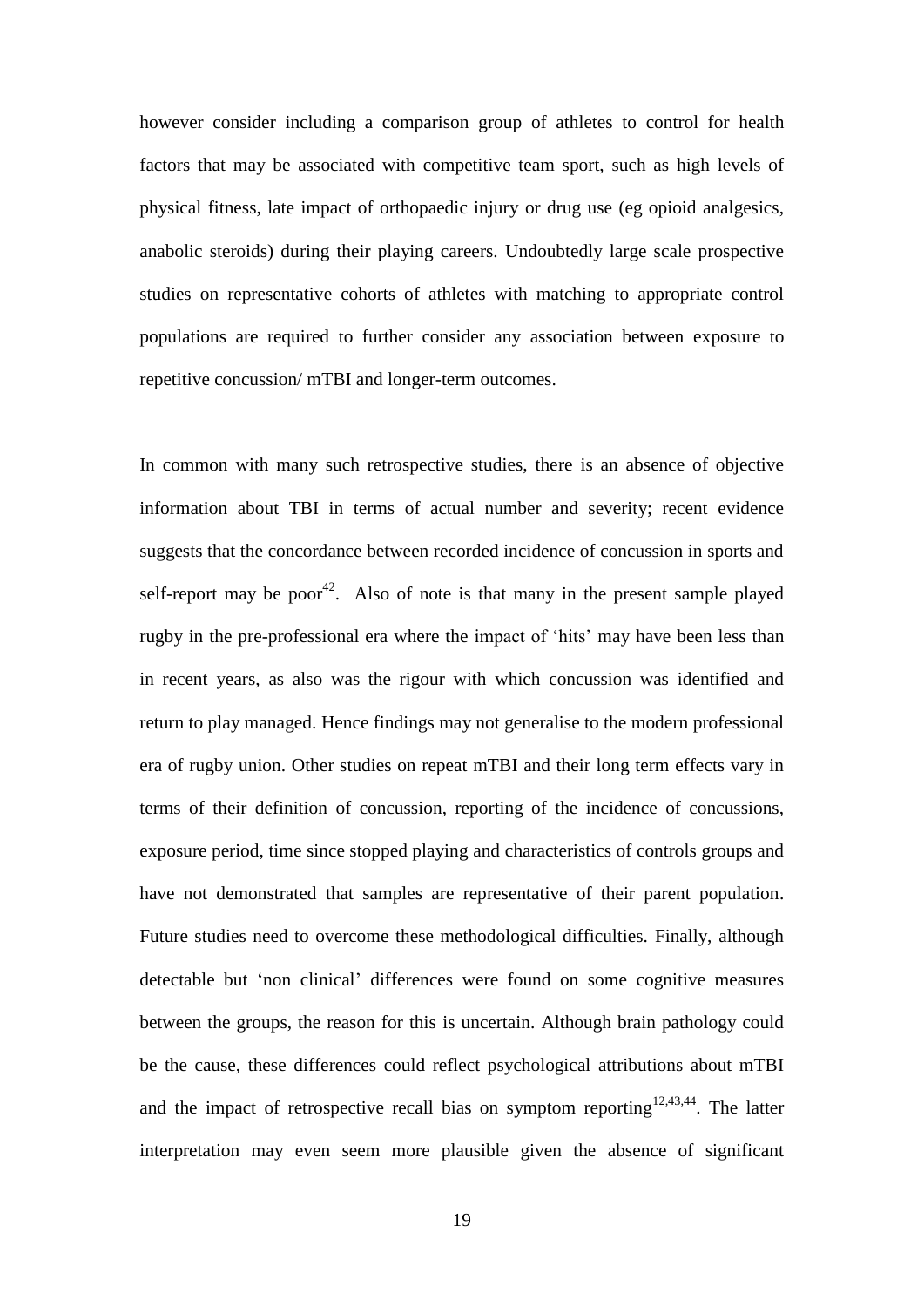however consider including a comparison group of athletes to control for health factors that may be associated with competitive team sport, such as high levels of physical fitness, late impact of orthopaedic injury or drug use (eg opioid analgesics, anabolic steroids) during their playing careers. Undoubtedly large scale prospective studies on representative cohorts of athletes with matching to appropriate control populations are required to further consider any association between exposure to repetitive concussion/ mTBI and longer-term outcomes.

In common with many such retrospective studies, there is an absence of objective information about TBI in terms of actual number and severity; recent evidence suggests that the concordance between recorded incidence of concussion in sports and self-report may be poor<sup>42</sup>. Also of note is that many in the present sample played rugby in the pre-professional era where the impact of 'hits' may have been less than in recent years, as also was the rigour with which concussion was identified and return to play managed. Hence findings may not generalise to the modern professional era of rugby union. Other studies on repeat mTBI and their long term effects vary in terms of their definition of concussion, reporting of the incidence of concussions, exposure period, time since stopped playing and characteristics of controls groups and have not demonstrated that samples are representative of their parent population. Future studies need to overcome these methodological difficulties. Finally, although detectable but 'non clinical' differences were found on some cognitive measures between the groups, the reason for this is uncertain. Although brain pathology could be the cause, these differences could reflect psychological attributions about mTBI and the impact of retrospective recall bias on symptom reporting  $12,43,44$ . The latter interpretation may even seem more plausible given the absence of significant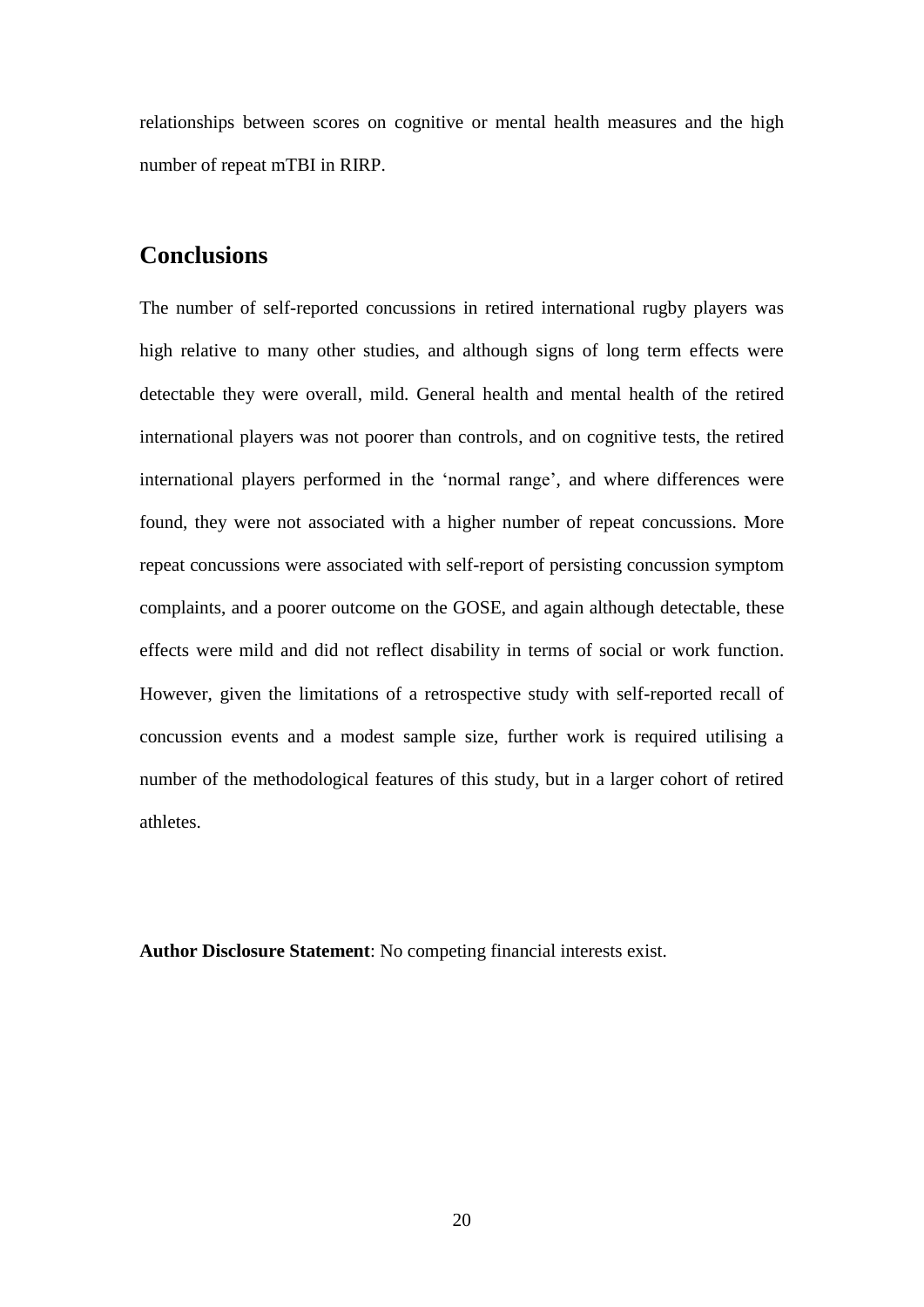relationships between scores on cognitive or mental health measures and the high number of repeat mTBI in RIRP.

## **Conclusions**

The number of self-reported concussions in retired international rugby players was high relative to many other studies, and although signs of long term effects were detectable they were overall, mild. General health and mental health of the retired international players was not poorer than controls, and on cognitive tests, the retired international players performed in the 'normal range', and where differences were found, they were not associated with a higher number of repeat concussions. More repeat concussions were associated with self-report of persisting concussion symptom complaints, and a poorer outcome on the GOSE, and again although detectable, these effects were mild and did not reflect disability in terms of social or work function. However, given the limitations of a retrospective study with self-reported recall of concussion events and a modest sample size, further work is required utilising a number of the methodological features of this study, but in a larger cohort of retired athletes.

**Author Disclosure Statement**: No competing financial interests exist.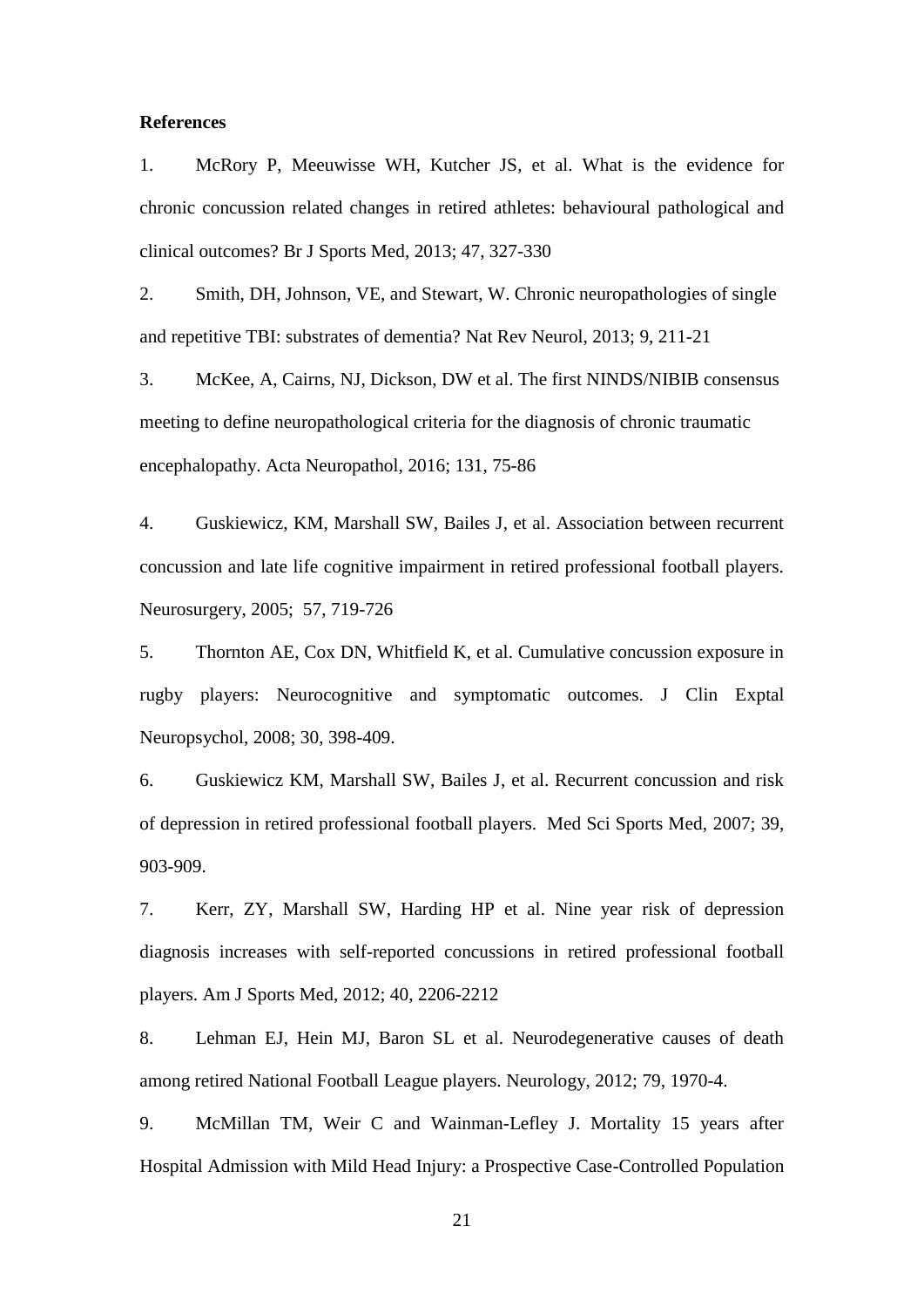#### **References**

1. McRory P, Meeuwisse WH, Kutcher JS, et al. What is the evidence for chronic concussion related changes in retired athletes: behavioural pathological and clinical outcomes? Br J Sports Med, 2013; 47, 327-330

2. Smith, DH, Johnson, VE, and Stewart, W. Chronic neuropathologies of single and repetitive TBI: substrates of dementia? Nat Rev Neurol, 2013; 9, 211-21

3. McKee, A, Cairns, NJ, Dickson, DW et al. The first NINDS/NIBIB consensus meeting to define neuropathological criteria for the diagnosis of chronic traumatic encephalopathy. Acta Neuropathol, 2016; 131, 75-86

4. Guskiewicz, KM, Marshall SW, Bailes J, et al. Association between recurrent concussion and late life cognitive impairment in retired professional football players. Neurosurgery, 2005; 57, 719-726

5. Thornton AE, Cox DN, Whitfield K, et al. Cumulative concussion exposure in rugby players: Neurocognitive and symptomatic outcomes. J Clin Exptal Neuropsychol, 2008; 30, 398-409.

6. Guskiewicz KM, Marshall SW, Bailes J, et al. Recurrent concussion and risk of depression in retired professional football players. Med Sci Sports Med, 2007; 39, 903-909.

7. Kerr, ZY, Marshall SW, Harding HP et al. Nine year risk of depression diagnosis increases with self-reported concussions in retired professional football players. Am J Sports Med, 2012; 40, 2206-2212

8. Lehman EJ, Hein MJ, Baron SL et al. Neurodegenerative causes of death among retired National Football League players. Neurology, 2012; 79, 1970-4.

9. McMillan TM, Weir C and Wainman-Lefley J. Mortality 15 years after Hospital Admission with Mild Head Injury: a Prospective Case-Controlled Population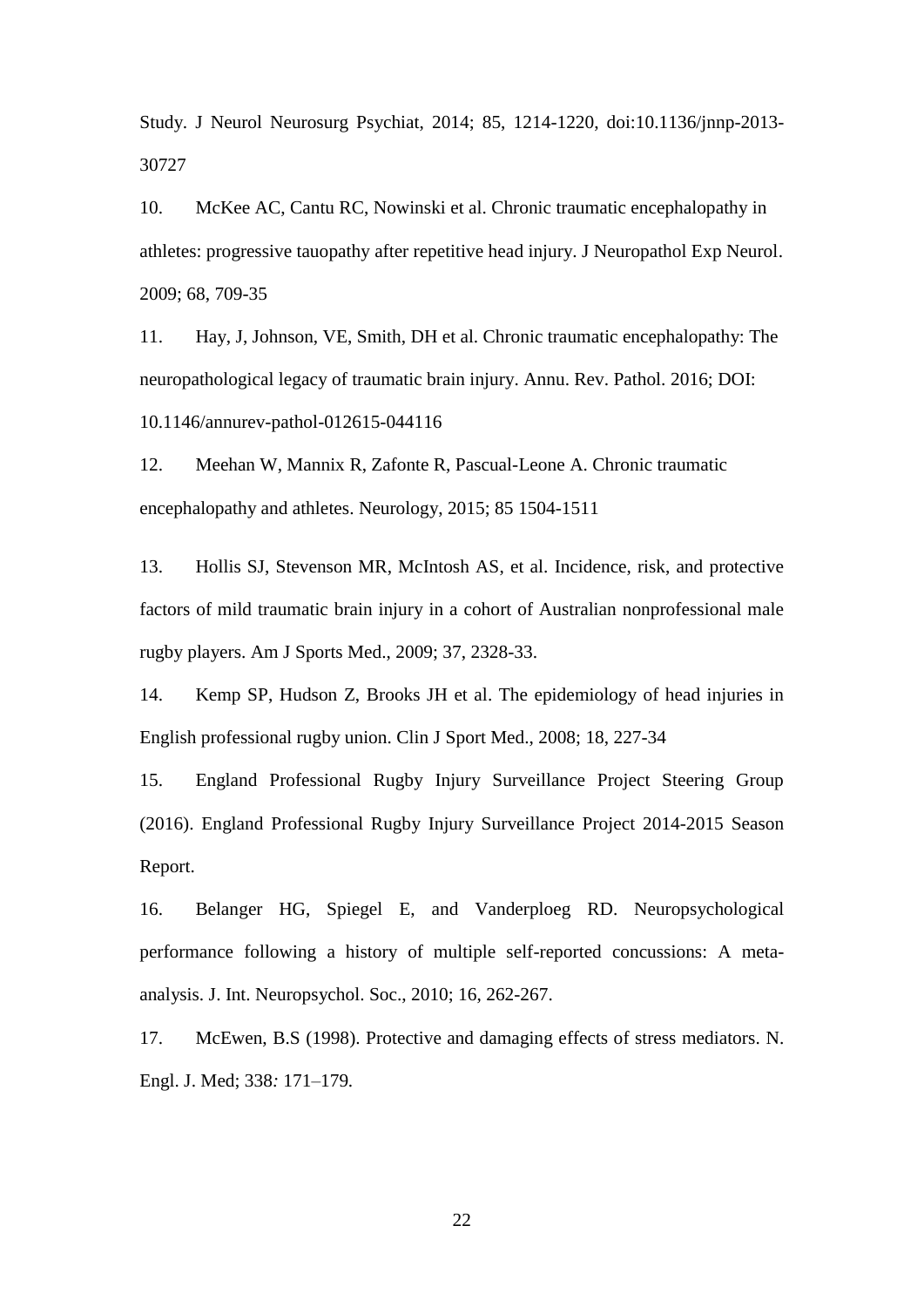Study. J Neurol Neurosurg Psychiat, 2014; 85, 1214-1220, doi:10.1136/jnnp-2013- 30727

10. McKee AC, Cantu RC, Nowinski et al. Chronic traumatic encephalopathy in athletes: progressive tauopathy after repetitive head injury. J Neuropathol Exp Neurol. 2009; 68, 709-35

11. Hay, J, Johnson, VE, Smith, DH et al. Chronic traumatic encephalopathy: The neuropathological legacy of traumatic brain injury. Annu. Rev. Pathol. 2016; DOI: 10.1146/annurev-pathol-012615-044116

12. Meehan W, Mannix R, Zafonte R, Pascual-Leone A. Chronic traumatic encephalopathy and athletes. Neurology, 2015; 85 1504-1511

13. Hollis SJ, Stevenson MR, McIntosh AS, et al. Incidence, risk, and protective factors of mild traumatic brain injury in a cohort of Australian nonprofessional male rugby players. Am J Sports Med., 2009; 37, 2328-33.

14. Kemp SP, Hudson Z, Brooks JH et al. The epidemiology of head injuries in English professional rugby union. Clin J Sport Med., 2008; 18, 227-34

15. England Professional Rugby Injury Surveillance Project Steering Group (2016). England Professional Rugby Injury Surveillance Project 2014-2015 Season Report.

16. Belanger HG, Spiegel E, and Vanderploeg RD. Neuropsychological performance following a history of multiple self-reported concussions: A metaanalysis. J. Int. Neuropsychol. Soc., 2010; 16, 262-267.

17. McEwen, B.S (1998). Protective and damaging effects of stress mediators. N. Engl. J. Med; 338*:* 171*–*179*.*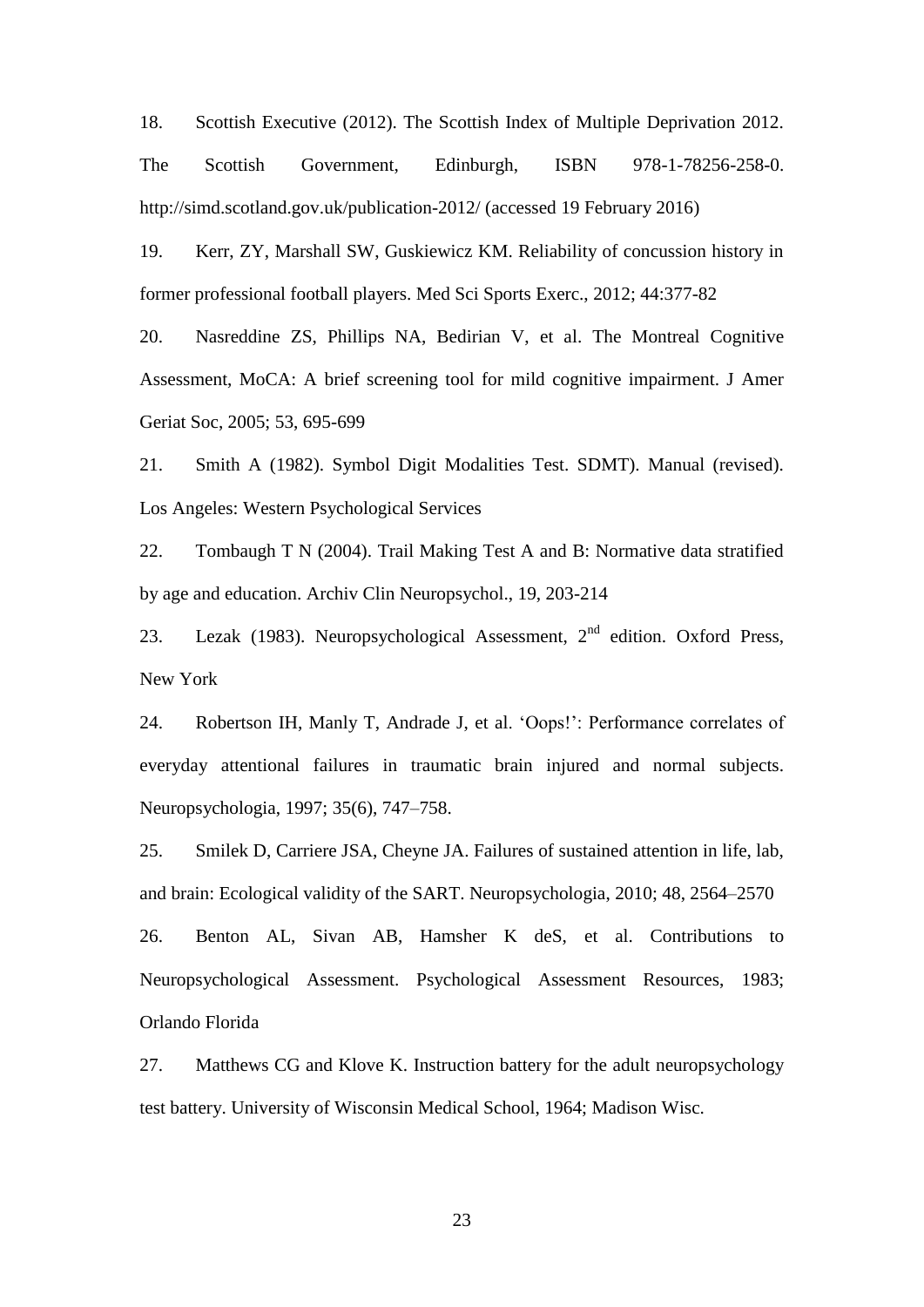18. Scottish Executive (2012). The Scottish Index of Multiple Deprivation 2012. The Scottish Government, Edinburgh, ISBN 978-1-78256-258-0. http://simd.scotland.gov.uk/publication-2012/ (accessed 19 February 2016)

19. Kerr, ZY, Marshall SW, Guskiewicz KM. Reliability of concussion history in former professional football players. Med Sci Sports Exerc., 2012; 44:377-82

20. Nasreddine ZS, Phillips NA, Bedirian V, et al. The Montreal Cognitive Assessment, MoCA: A brief screening tool for mild cognitive impairment. J Amer Geriat Soc, 2005; 53, 695-699

21. Smith A (1982). Symbol Digit Modalities Test. SDMT). Manual (revised). Los Angeles: Western Psychological Services

22. Tombaugh T N (2004). Trail Making Test A and B: Normative data stratified by age and education. Archiv Clin Neuropsychol., 19, 203-214

23. Lezak (1983). Neuropsychological Assessment,  $2<sup>nd</sup>$  edition. Oxford Press, New York

24. Robertson IH, Manly T, Andrade J, et al. 'Oops!': Performance correlates of everyday attentional failures in traumatic brain injured and normal subjects. Neuropsychologia, 1997; 35(6), 747–758.

25. Smilek D, Carriere JSA, Cheyne JA. Failures of sustained attention in life, lab, and brain: Ecological validity of the SART. Neuropsychologia, 2010; 48, 2564–2570 26. Benton AL, Sivan AB, Hamsher K deS, et al. Contributions to Neuropsychological Assessment. Psychological Assessment Resources, 1983; Orlando Florida

27. Matthews CG and Klove K. Instruction battery for the adult neuropsychology test battery. University of Wisconsin Medical School, 1964; Madison Wisc.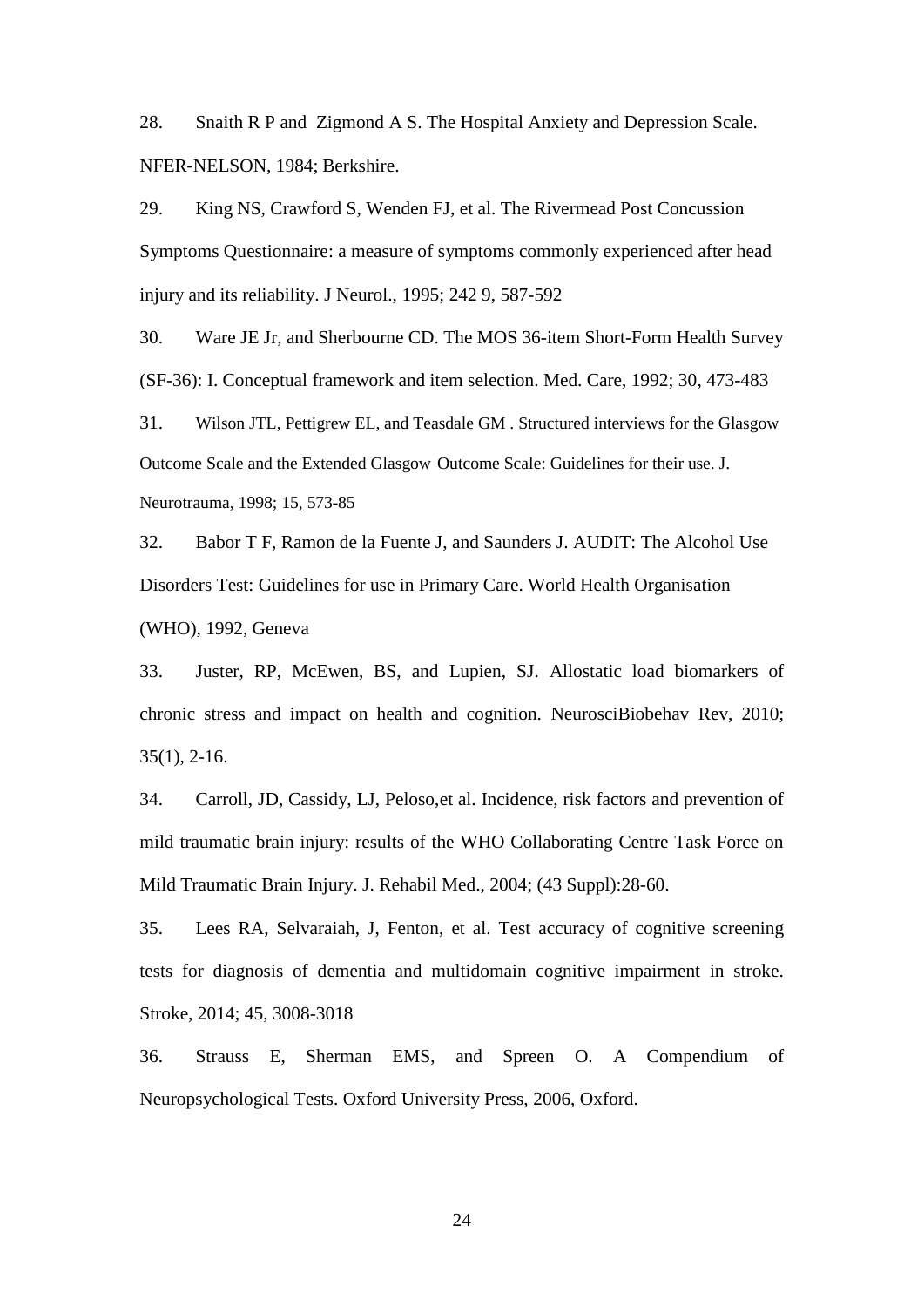28. Snaith R P and Zigmond A S. The Hospital Anxiety and Depression Scale. NFER‐NELSON, 1984; Berkshire.

29. King NS, Crawford S, Wenden FJ, et al. The Rivermead Post Concussion Symptoms Questionnaire: a measure of symptoms commonly experienced after head injury and its reliability. J Neurol., 1995; 242 9, 587-592

30. Ware JE Jr, and Sherbourne CD. The MOS 36-item Short-Form Health Survey (SF-36): I. Conceptual framework and item selection. Med. Care, 1992; 30, 473-483

31. Wilson JTL, Pettigrew EL, and Teasdale GM . Structured interviews for the Glasgow Outcome Scale and the Extended Glasgow Outcome Scale: Guidelines for their use. J. Neurotrauma, 1998; 15, 573-85

32. Babor T F, Ramon de la Fuente J, and Saunders J. AUDIT: The Alcohol Use Disorders Test: Guidelines for use in Primary Care. World Health Organisation (WHO), 1992, Geneva

33. Juster, RP, McEwen, BS, and Lupien, SJ. Allostatic load biomarkers of chronic stress and impact on health and cognition. NeurosciBiobehav Rev, 2010; 35(1), 2-16.

34. Carroll, JD, Cassidy, LJ, Peloso,et al. Incidence, risk factors and prevention of mild traumatic brain injury: results of the WHO Collaborating Centre Task Force on Mild Traumatic Brain Injury. J. Rehabil Med., 2004; (43 Suppl):28-60.

35. Lees RA, Selvaraiah, J, Fenton, et al. Test accuracy of cognitive screening tests for diagnosis of dementia and multidomain cognitive impairment in stroke. Stroke, 2014; 45, 3008-3018

36. Strauss E, Sherman EMS, and Spreen O. A Compendium of Neuropsychological Tests. Oxford University Press, 2006, Oxford.